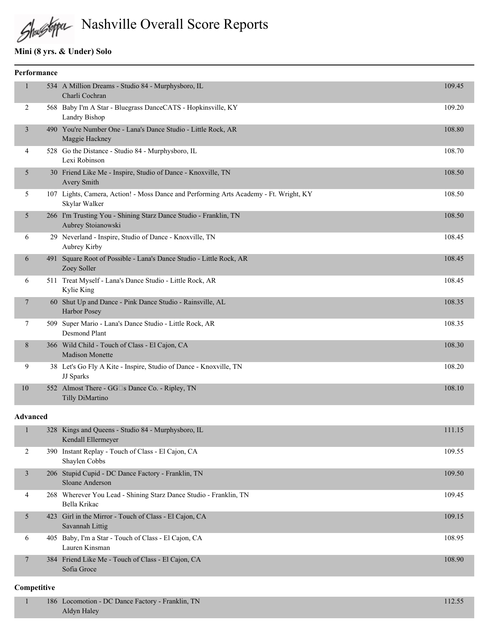Nashville Overall Score Reports

# **Mini (8 yrs. & Under) Solo**

| Performance |  |                                                                                                        |        |  |
|-------------|--|--------------------------------------------------------------------------------------------------------|--------|--|
|             |  | 534 A Million Dreams - Studio 84 - Murphysboro, IL<br>Charli Cochran                                   | 109.45 |  |
| 2           |  | 568 Baby I'm A Star - Bluegrass DanceCATS - Hopkinsville, KY<br>Landry Bishop                          | 109.20 |  |
| 3           |  | 490 You're Number One - Lana's Dance Studio - Little Rock, AR<br>Maggie Hackney                        | 108.80 |  |
| 4           |  | 528 Go the Distance - Studio 84 - Murphysboro, IL<br>Lexi Robinson                                     | 108.70 |  |
| 5           |  | 30 Friend Like Me - Inspire, Studio of Dance - Knoxville, TN<br><b>Avery Smith</b>                     | 108.50 |  |
| 5           |  | 107 Lights, Camera, Action! - Moss Dance and Performing Arts Academy - Ft. Wright, KY<br>Skylar Walker | 108.50 |  |
| 5           |  | 266 I'm Trusting You - Shining Starz Dance Studio - Franklin, TN<br>Aubrey Stoianowski                 | 108.50 |  |
| 6           |  | 29 Neverland - Inspire, Studio of Dance - Knoxville, TN<br>Aubrey Kirby                                | 108.45 |  |
| 6           |  | 491 Square Root of Possible - Lana's Dance Studio - Little Rock, AR<br>Zoey Soller                     | 108.45 |  |
| 6           |  | 511 Treat Myself - Lana's Dance Studio - Little Rock, AR<br>Kylie King                                 | 108.45 |  |
| 7           |  | 60 Shut Up and Dance - Pink Dance Studio - Rainsville, AL<br>Harbor Posey                              | 108.35 |  |
| 7           |  | 509 Super Mario - Lana's Dance Studio - Little Rock, AR<br><b>Desmond Plant</b>                        | 108.35 |  |
| 8           |  | 366 Wild Child - Touch of Class - El Cajon, CA<br><b>Madison Monette</b>                               | 108.30 |  |
| 9           |  | 38 Let's Go Fly A Kite - Inspire, Studio of Dance - Knoxville, TN<br>JJ Sparks                         | 108.20 |  |
| 10          |  | 552 Almost There - GG <sup>I</sup> s Dance Co. - Ripley, TN<br>Tilly DiMartino                         | 108.10 |  |
|             |  |                                                                                                        |        |  |

#### **Advanced**

|   | 328 Kings and Queens - Studio 84 - Murphysboro, IL<br>Kendall Ellermeyer          | 111.15 |
|---|-----------------------------------------------------------------------------------|--------|
| 2 | 390 Instant Replay - Touch of Class - El Cajon, CA<br>Shaylen Cobbs               | 109.55 |
| 3 | 206 Stupid Cupid - DC Dance Factory - Franklin, TN<br>Sloane Anderson             | 109.50 |
| 4 | 268 Wherever You Lead - Shining Starz Dance Studio - Franklin, TN<br>Bella Krikac | 109.45 |
| 5 | 423 Girl in the Mirror - Touch of Class - El Cajon, CA<br>Savannah Littig         | 109.15 |
| 6 | 405 Baby, I'm a Star - Touch of Class - El Cajon, CA<br>Lauren Kinsman            | 108.95 |
|   | 384 Friend Like Me - Touch of Class - El Cajon, CA<br>Sofia Groce                 | 108.90 |

### **Competitive**

| 186 Locomotion - DC Dance Factory - Franklin, TN |  |
|--------------------------------------------------|--|
| Aldyn Halev                                      |  |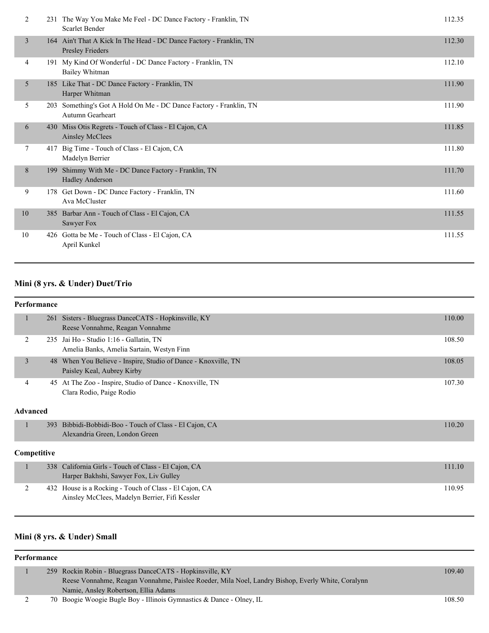| 2  |     | 231 The Way You Make Me Feel - DC Dance Factory - Franklin, TN<br>Scarlet Bender        | 112.35 |
|----|-----|-----------------------------------------------------------------------------------------|--------|
| 3  |     | 164 Ain't That A Kick In The Head - DC Dance Factory - Franklin, TN<br>Presley Frieders | 112.30 |
| 4  |     | 191 My Kind Of Wonderful - DC Dance Factory - Franklin, TN<br>Bailey Whitman            | 112.10 |
| 5  |     | 185 Like That - DC Dance Factory - Franklin, TN<br>Harper Whitman                       | 111.90 |
| 5  | 203 | Something's Got A Hold On Me - DC Dance Factory - Franklin, TN<br>Autumn Gearheart      | 111.90 |
| 6  |     | 430 Miss Otis Regrets - Touch of Class - El Cajon, CA<br><b>Ainsley McClees</b>         | 111.85 |
| 7  |     | 417 Big Time - Touch of Class - El Cajon, CA<br>Madelyn Berrier                         | 111.80 |
| 8  | 199 | Shimmy With Me - DC Dance Factory - Franklin, TN<br><b>Hadley Anderson</b>              | 111.70 |
| 9  |     | 178 Get Down - DC Dance Factory - Franklin, TN<br>Ava McCluster                         | 111.60 |
| 10 | 385 | Barbar Ann - Touch of Class - El Cajon, CA<br>Sawyer Fox                                | 111.55 |
| 10 |     | 426 Gotta be Me - Touch of Class - El Cajon, CA<br>April Kunkel                         | 111.55 |

# **Mini (8 yrs. & Under) Duet/Trio**

#### **Performance**

| 261 Sisters - Bluegrass DanceCATS - Hopkinsville, KY<br>Reese Vonnahme, Reagan Vonnahme      | 110.00 |
|----------------------------------------------------------------------------------------------|--------|
| 235 Jai Ho - Studio 1:16 - Gallatin, TN<br>Amelia Banks, Amelia Sartain, Westyn Finn         | 108.50 |
| 48 When You Believe - Inspire, Studio of Dance - Knoxville, TN<br>Paisley Keal, Aubrey Kirby | 108.05 |
| 45 At The Zoo - Inspire, Studio of Dance - Knoxville, TN<br>Clara Rodio, Paige Rodio         | 107.30 |

### **Advanced**

| 393 Bibbidi-Bobbidi-Boo - Touch of Class - El Cajon, CA | 110.20 |
|---------------------------------------------------------|--------|
| Alexandria Green, London Green                          |        |
|                                                         |        |

### **Competitive**

| 338 California Girls - Touch of Class - El Cajon, CA<br>Harper Bakhshi, Sawyer Fox, Liv Gulley           | 111.10 |
|----------------------------------------------------------------------------------------------------------|--------|
| 432 House is a Rocking - Touch of Class - El Cajon, CA<br>Ainsley McClees, Madelyn Berrier, Fifi Kessler | 10.95  |

# **Mini (8 yrs. & Under) Small**

### **Performance**

|  | 259 Rockin Robin - Bluegrass DanceCATS - Hopkinsville, KY                                         | 109.40 |
|--|---------------------------------------------------------------------------------------------------|--------|
|  | Reese Vonnahme, Reagan Vonnahme, Paislee Roeder, Mila Noel, Landry Bishop, Everly White, Coralynn |        |
|  | Namie, Ansley Robertson, Ellia Adams                                                              |        |
|  | 70 Boogie Woogie Bugle Boy - Illinois Gymnastics & Dance - Olney, IL                              | 108.50 |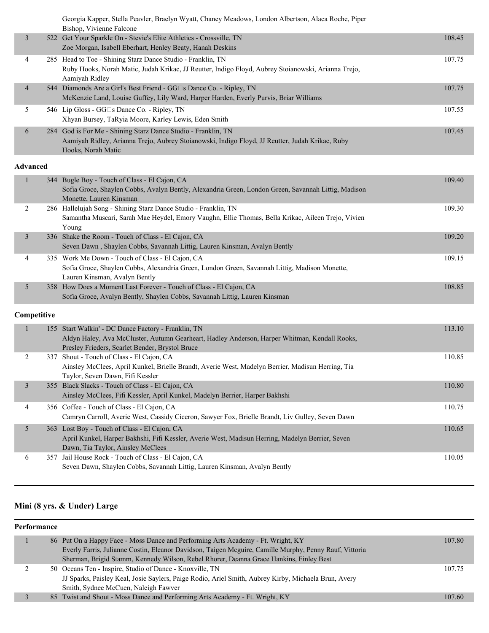|                 | Georgia Kapper, Stella Peavler, Braelyn Wyatt, Chaney Meadows, London Albertson, Alaca Roche, Piper<br>Bishop, Vivienne Falcone                                                                         |        |
|-----------------|---------------------------------------------------------------------------------------------------------------------------------------------------------------------------------------------------------|--------|
| 3               | 522 Get Your Sparkle On - Stevie's Elite Athletics - Crossville, TN<br>Zoe Morgan, Isabell Eberhart, Henley Beaty, Hanah Deskins                                                                        | 108.45 |
| 4               | 285 Head to Toe - Shining Starz Dance Studio - Franklin, TN<br>Ruby Hooks, Norah Matic, Judah Krikac, JJ Reutter, Indigo Floyd, Aubrey Stoianowski, Arianna Trejo,<br>Aamiyah Ridley                    | 107.75 |
| $\overline{4}$  | 544 Diamonds Are a Girl's Best Friend - GG□s Dance Co. - Ripley, TN<br>McKenzie Land, Louise Guffey, Lily Ward, Harper Harden, Everly Purvis, Briar Williams                                            | 107.75 |
| 5               | 546 Lip Gloss - GG□s Dance Co. - Ripley, TN<br>Xhyan Bursey, TaRyia Moore, Karley Lewis, Eden Smith                                                                                                     | 107.55 |
| 6               | 284 God is For Me - Shining Starz Dance Studio - Franklin, TN<br>Aamiyah Ridley, Arianna Trejo, Aubrey Stoianowski, Indigo Floyd, JJ Reutter, Judah Krikac, Ruby<br>Hooks, Norah Matic                  | 107.45 |
| <b>Advanced</b> |                                                                                                                                                                                                         |        |
|                 | 344 Bugle Boy - Touch of Class - El Cajon, CA<br>Sofia Groce, Shaylen Cobbs, Avalyn Bently, Alexandria Green, London Green, Savannah Littig, Madison<br>Monette, Lauren Kinsman                         | 109.40 |
| 2               | 286 Hallelujah Song - Shining Starz Dance Studio - Franklin, TN<br>Samantha Muscari, Sarah Mae Heydel, Emory Vaughn, Ellie Thomas, Bella Krikac, Aileen Trejo, Vivien<br>Young                          | 109.30 |
| 3               | 336 Shake the Room - Touch of Class - El Cajon, CA<br>Seven Dawn, Shaylen Cobbs, Savannah Littig, Lauren Kinsman, Avalyn Bently                                                                         | 109.20 |
| 4               | 335 Work Me Down - Touch of Class - El Cajon, CA<br>Sofia Groce, Shaylen Cobbs, Alexandria Green, London Green, Savannah Littig, Madison Monette,<br>Lauren Kinsman, Avalyn Bently                      | 109.15 |
| 5               | 358 How Does a Moment Last Forever - Touch of Class - El Cajon, CA<br>Sofia Groce, Avalyn Bently, Shaylen Cobbs, Savannah Littig, Lauren Kinsman                                                        | 108.85 |
| Competitive     |                                                                                                                                                                                                         |        |
| $\mathbf{1}$    | 155 Start Walkin' - DC Dance Factory - Franklin, TN<br>Aldyn Haley, Ava McCluster, Autumn Gearheart, Hadley Anderson, Harper Whitman, Kendall Rooks,<br>Presley Frieders, Scarlet Bender, Brystol Bruce | 113.10 |

|   | <u>Thuyn Hunvy, Truchology Tuddini Ovaniaid, Hudrop Tinuboni, Hunper Windham, Kenaan Rooms, </u>  |        |
|---|---------------------------------------------------------------------------------------------------|--------|
|   | Presley Frieders, Scarlet Bender, Brystol Bruce                                                   |        |
|   | 337 Shout - Touch of Class - El Cajon, CA                                                         | 110.85 |
|   | Ainsley McClees, April Kunkel, Brielle Brandt, Averie West, Madelyn Berrier, Madisun Herring, Tia |        |
|   | Taylor, Seven Dawn, Fifi Kessler                                                                  |        |
| 3 | 355 Black Slacks - Touch of Class - El Cajon, CA                                                  | 110.80 |
|   | Ainsley McClees, Fifi Kessler, April Kunkel, Madelyn Berrier, Harper Bakhshi                      |        |
| 4 | 356 Coffee - Touch of Class - El Cajon, CA                                                        | 110.75 |
|   | Camryn Carroll, Averie West, Cassidy Ciceron, Sawyer Fox, Brielle Brandt, Liv Gulley, Seven Dawn  |        |
|   | 363 Lost Boy - Touch of Class - El Cajon, CA                                                      | 110.65 |
|   | April Kunkel, Harper Bakhshi, Fifi Kessler, Averie West, Madisun Herring, Madelyn Berrier, Seven  |        |
|   | Dawn, Tia Taylor, Ainsley McClees                                                                 |        |
| 6 | 357 Jail House Rock - Touch of Class - El Cajon, CA                                               | 110.05 |
|   | Seven Dawn, Shaylen Cobbs, Savannah Littig, Lauren Kinsman, Avalyn Bently                         |        |
|   |                                                                                                   |        |

# **Mini (8 yrs. & Under) Large**

| Performance |  |                                                                                                        |        |  |
|-------------|--|--------------------------------------------------------------------------------------------------------|--------|--|
|             |  | 86 Put On a Happy Face - Moss Dance and Performing Arts Academy - Ft. Wright, KY                       | 107.80 |  |
|             |  | Everly Farris, Julianne Costin, Eleanor Davidson, Taigen Mcguire, Camille Murphy, Penny Rauf, Vittoria |        |  |
|             |  | Sherman, Brigid Stamm, Kennedy Wilson, Rebel Rhorer, Deanna Grace Hankins, Finley Best                 |        |  |
|             |  | 50 Oceans Ten - Inspire, Studio of Dance - Knoxville, TN                                               | 107.75 |  |
|             |  | JJ Sparks, Paisley Keal, Josie Saylers, Paige Rodio, Ariel Smith, Aubrey Kirby, Michaela Brun, Avery   |        |  |
|             |  | Smith, Sydnee McCuen, Naleigh Fawver                                                                   |        |  |
|             |  | 85 Twist and Shout - Moss Dance and Performing Arts Academy - Ft. Wright, KY                           | 107.60 |  |
|             |  |                                                                                                        |        |  |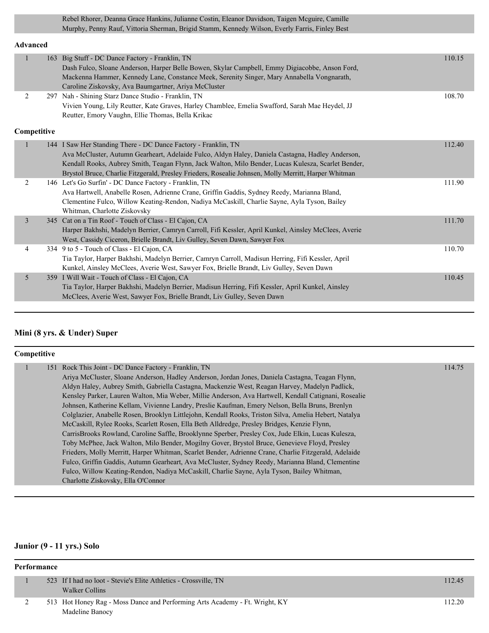Rebel Rhorer, Deanna Grace Hankins, Julianne Costin, Eleanor Davidson, Taigen Mcguire, Camille Murphy, Penny Rauf, Vittoria Sherman, Brigid Stamm, Kennedy Wilson, Everly Farris, Finley Best

### **Advanced**

|                | 163 | Big Stuff - DC Dance Factory - Franklin, TN<br>Dash Fulco, Sloane Anderson, Harper Belle Bowen, Skylar Campbell, Emmy Digiacobbe, Anson Ford,<br>Mackenna Hammer, Kennedy Lane, Constance Meek, Serenity Singer, Mary Annabella Vongnarath, | 110.15 |
|----------------|-----|---------------------------------------------------------------------------------------------------------------------------------------------------------------------------------------------------------------------------------------------|--------|
|                |     | Caroline Ziskovsky, Ava Baumgartner, Ariya McCluster                                                                                                                                                                                        |        |
| $\overline{2}$ |     | 297 Nah - Shining Starz Dance Studio - Franklin, TN                                                                                                                                                                                         | 108.70 |
|                |     | Vivien Young, Lily Reutter, Kate Graves, Harley Chamblee, Emelia Swafford, Sarah Mae Heydel, JJ                                                                                                                                             |        |
|                |     | Reutter, Emory Vaughn, Ellie Thomas, Bella Krikac                                                                                                                                                                                           |        |
| Competitive    |     |                                                                                                                                                                                                                                             |        |
| 1              |     | 144 I Saw Her Standing There - DC Dance Factory - Franklin, TN                                                                                                                                                                              | 112.40 |
|                |     | Ava McCluster, Autumn Gearheart, Adelaide Fulco, Aldyn Haley, Daniela Castagna, Hadley Anderson,                                                                                                                                            |        |
|                |     | Kendall Rooks, Aubrey Smith, Teagan Flynn, Jack Walton, Milo Bender, Lucas Kulesza, Scarlet Bender,                                                                                                                                         |        |
|                |     | Brystol Bruce, Charlie Fitzgerald, Presley Frieders, Rosealie Johnsen, Molly Merritt, Harper Whitman                                                                                                                                        |        |
| $\overline{2}$ |     | 146 Let's Go Surfin' - DC Dance Factory - Franklin, TN                                                                                                                                                                                      | 111.90 |
|                |     | Ava Hartwell, Anabelle Rosen, Adrienne Crane, Griffin Gaddis, Sydney Reedy, Marianna Bland,                                                                                                                                                 |        |
|                |     | Clementine Fulco, Willow Keating-Rendon, Nadiya McCaskill, Charlie Sayne, Ayla Tyson, Bailey                                                                                                                                                |        |
|                |     | Whitman, Charlotte Ziskovsky                                                                                                                                                                                                                |        |
| $\overline{3}$ |     | 345 Cat on a Tin Roof - Touch of Class - El Cajon, CA                                                                                                                                                                                       | 111.70 |
|                |     | Harper Bakhshi, Madelyn Berrier, Camryn Carroll, Fifi Kessler, April Kunkel, Ainsley McClees, Averie                                                                                                                                        |        |
|                |     | West, Cassidy Ciceron, Brielle Brandt, Liv Gulley, Seven Dawn, Sawyer Fox                                                                                                                                                                   |        |
| $\overline{4}$ |     | 334 9 to 5 - Touch of Class - El Cajon, CA                                                                                                                                                                                                  | 110.70 |
|                |     | Tia Taylor, Harper Bakhshi, Madelyn Berrier, Camryn Carroll, Madisun Herring, Fifi Kessler, April                                                                                                                                           |        |
|                |     | Kunkel, Ainsley McClees, Averie West, Sawyer Fox, Brielle Brandt, Liv Gulley, Seven Dawn                                                                                                                                                    |        |
| 5              |     | 359 I Will Wait - Touch of Class - El Cajon, CA                                                                                                                                                                                             | 110.45 |
|                |     | Tia Taylor, Harper Bakhshi, Madelyn Berrier, Madisun Herring, Fifi Kessler, April Kunkel, Ainsley                                                                                                                                           |        |
|                |     | McClees, Averie West, Sawyer Fox, Brielle Brandt, Liv Gulley, Seven Dawn                                                                                                                                                                    |        |
|                |     |                                                                                                                                                                                                                                             |        |

### **Mini (8 yrs. & Under) Super**

| Competitive |  |                                                                                                       |        |
|-------------|--|-------------------------------------------------------------------------------------------------------|--------|
|             |  | 151 Rock This Joint - DC Dance Factory - Franklin, TN                                                 | 114.75 |
|             |  | Ariya McCluster, Sloane Anderson, Hadley Anderson, Jordan Jones, Daniela Castagna, Teagan Flynn,      |        |
|             |  | Aldyn Haley, Aubrey Smith, Gabriella Castagna, Mackenzie West, Reagan Harvey, Madelyn Padlick,        |        |
|             |  | Kensley Parker, Lauren Walton, Mia Weber, Millie Anderson, Ava Hartwell, Kendall Catignani, Rosealie  |        |
|             |  | Johnsen, Katherine Kellam, Vivienne Landry, Preslie Kaufman, Emery Nelson, Bella Bruns, Brenlyn       |        |
|             |  | Colglazier, Anabelle Rosen, Brooklyn Littlejohn, Kendall Rooks, Triston Silva, Amelia Hebert, Natalya |        |
|             |  | McCaskill, Rylee Rooks, Scarlett Rosen, Ella Beth Alldredge, Presley Bridges, Kenzie Flynn,           |        |
|             |  | CarrisBrooks Rowland, Caroline Saffle, Brooklynne Sperber, Presley Cox, Jude Elkin, Lucas Kulesza,    |        |
|             |  | Toby McPhee, Jack Walton, Milo Bender, Mogilny Gover, Brystol Bruce, Genevieve Floyd, Presley         |        |
|             |  | Frieders, Molly Merritt, Harper Whitman, Scarlet Bender, Adrienne Crane, Charlie Fitzgerald, Adelaide |        |
|             |  | Fulco, Griffin Gaddis, Autumn Gearheart, Ava McCluster, Sydney Reedy, Marianna Bland, Clementine      |        |
|             |  | Fulco, Willow Keating-Rendon, Nadiya McCaskill, Charlie Sayne, Ayla Tyson, Bailey Whitman,            |        |
|             |  | Charlotte Ziskovsky, Ella O'Connor                                                                    |        |

# **Junior (9 - 11 yrs.) Solo**

| Performance |  |                                                                                                |        |
|-------------|--|------------------------------------------------------------------------------------------------|--------|
|             |  | 523 If I had no loot - Stevie's Elite Athletics - Crossville, TN<br>Walker Collins             | 112.45 |
|             |  | 513 Hot Honey Rag - Moss Dance and Performing Arts Academy - Ft. Wright, KY<br>Madeline Banocy | 112.20 |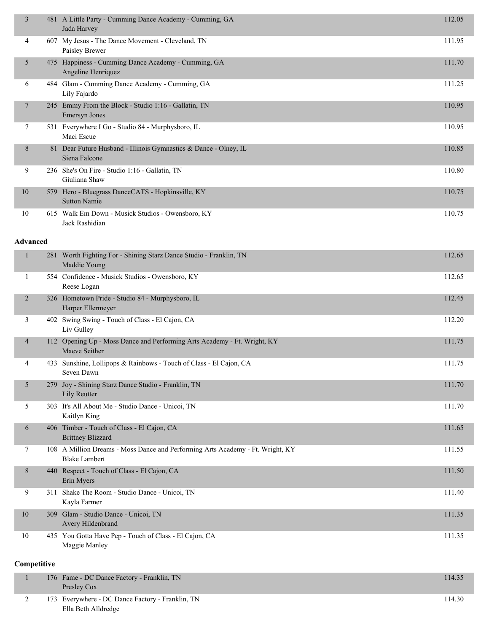| 3               |     | 481 A Little Party - Cumming Dance Academy - Cumming, GA<br>Jada Harvey                                | 112.05 |
|-----------------|-----|--------------------------------------------------------------------------------------------------------|--------|
| 4               |     | 607 My Jesus - The Dance Movement - Cleveland, TN<br>Paisley Brewer                                    | 111.95 |
| 5               |     | 475 Happiness - Cumming Dance Academy - Cumming, GA<br>Angeline Henriquez                              | 111.70 |
| 6               |     | 484 Glam - Cumming Dance Academy - Cumming, GA<br>Lily Fajardo                                         | 111.25 |
| 7               |     | 245 Emmy From the Block - Studio 1:16 - Gallatin, TN<br>Emersyn Jones                                  | 110.95 |
| 7               |     | 531 Everywhere I Go - Studio 84 - Murphysboro, IL<br>Maci Escue                                        | 110.95 |
| 8               |     | 81 Dear Future Husband - Illinois Gymnastics & Dance - Olney, IL<br>Siena Falcone                      | 110.85 |
| 9               |     | 236 She's On Fire - Studio 1:16 - Gallatin, TN<br>Giuliana Shaw                                        | 110.80 |
| 10              |     | 579 Hero - Bluegrass DanceCATS - Hopkinsville, KY<br><b>Sutton Namie</b>                               | 110.75 |
| 10              |     | 615 Walk Em Down - Musick Studios - Owensboro, KY<br>Jack Rashidian                                    | 110.75 |
| <b>Advanced</b> |     |                                                                                                        |        |
| 1               |     | 281 Worth Fighting For - Shining Starz Dance Studio - Franklin, TN<br>Maddie Young                     | 112.65 |
| 1               |     | 554 Confidence - Musick Studios - Owensboro, KY<br>Reese Logan                                         | 112.65 |
| $\overline{2}$  |     | 326 Hometown Pride - Studio 84 - Murphysboro, IL<br>Harper Ellermeyer                                  | 112.45 |
| 3               |     | 402 Swing Swing - Touch of Class - El Cajon, CA<br>Liv Gulley                                          | 112.20 |
| 4               |     | 112 Opening Up - Moss Dance and Performing Arts Academy - Ft. Wright, KY<br>Maeve Seither              | 111.75 |
| 4               |     | 433 Sunshine, Lollipops & Rainbows - Touch of Class - El Cajon, CA<br>Seven Dawn                       | 111.75 |
| 5               | 279 | Joy - Shining Starz Dance Studio - Franklin, TN<br>Lily Reutter                                        | 111.70 |
| 5               |     | 303 It's All About Me - Studio Dance - Unicoi, TN<br>Kaitlyn King                                      | 111.70 |
| 6               |     | 406 Timber - Touch of Class - El Cajon, CA<br><b>Brittney Blizzard</b>                                 | 111.65 |
| 7               |     | 108 A Million Dreams - Moss Dance and Performing Arts Academy - Ft. Wright, KY<br><b>Blake Lambert</b> | 111.55 |
| 8               |     | 440 Respect - Touch of Class - El Cajon, CA<br>Erin Myers                                              | 111.50 |
| 9               |     | 311 Shake The Room - Studio Dance - Unicoi, TN<br>Kayla Farmer                                         | 111.40 |
| 10              |     | 309 Glam - Studio Dance - Unicoi, TN<br>Avery Hildenbrand                                              | 111.35 |
| 10              |     | 435 You Gotta Have Pep - Touch of Class - El Cajon, CA<br>Maggie Manley                                | 111.35 |
| Competitive     |     |                                                                                                        |        |
| 1               |     | 176 Fame - DC Dance Factory - Franklin, TN                                                             | 114.35 |

|  | Presley Cox                                      |        |
|--|--------------------------------------------------|--------|
|  | 173 Everywhere - DC Dance Factory - Franklin, TN | 114.30 |
|  | Ella Beth Alldredge                              |        |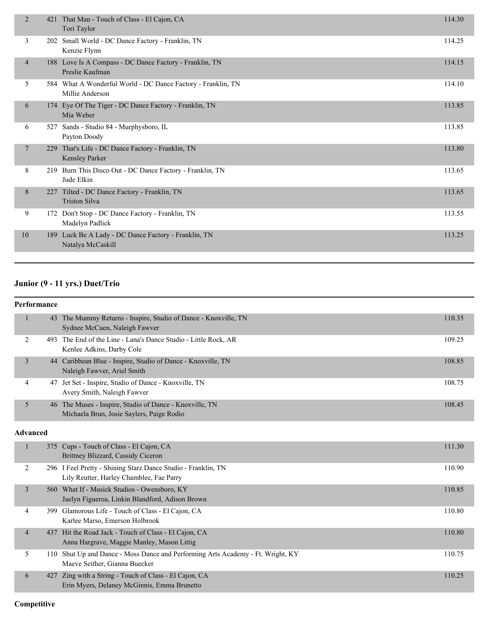| 2               | 421 | That Man - Touch of Class - El Cajon, CA<br>Tori Taylor                         | 114.30 |
|-----------------|-----|---------------------------------------------------------------------------------|--------|
| 3               |     | 202 Small World - DC Dance Factory - Franklin, TN<br>Kenzie Flynn               | 114.25 |
| $\overline{4}$  |     | 188 Love Is A Compass - DC Dance Factory - Franklin, TN<br>Preslie Kaufman      | 114.15 |
| 5               |     | 584 What A Wonderful World - DC Dance Factory - Franklin, TN<br>Millie Anderson | 114.10 |
| 6               |     | 174 Eye Of The Tiger - DC Dance Factory - Franklin, TN<br>Mia Weber             | 113.85 |
| 6               | 527 | Sands - Studio 84 - Murphysboro, IL<br>Payton Doody                             | 113.85 |
| $7\phantom{.0}$ | 229 | That's Life - DC Dance Factory - Franklin, TN<br>Kensley Parker                 | 113.80 |
| 8               |     | 219 Burn This Disco Out - DC Dance Factory - Franklin, TN<br>Jude Elkin         | 113.65 |
| 8               | 227 | Tilted - DC Dance Factory - Franklin, TN<br><b>Triston Silva</b>                | 113.65 |
| 9               |     | 172 Don't Stop - DC Dance Factory - Franklin, TN<br>Madelyn Padlick             | 113.55 |
| 10              | 189 | Luck Be A Lady - DC Dance Factory - Franklin, TN<br>Natalya McCaskill           | 113.25 |
|                 |     |                                                                                 |        |

# **Junior (9 - 11 yrs.) Duet/Trio**

| Performance |
|-------------|

| Performance     |     |                                                                                                              |        |
|-----------------|-----|--------------------------------------------------------------------------------------------------------------|--------|
|                 |     | 43 The Mummy Returns - Inspire, Studio of Dance - Knoxville, TN<br>Sydnee McCuen, Naleigh Fawver             | 110.35 |
| 2               |     | 493 The End of the Line - Lana's Dance Studio - Little Rock, AR<br>Kenlee Adkins, Darby Cole                 | 109.25 |
| 3               |     | 44 Caribbean Blue - Inspire, Studio of Dance - Knoxville, TN<br>Naleigh Fawver, Ariel Smith                  | 108.85 |
| 4               | 47  | Jet Set - Inspire, Studio of Dance - Knoxville, TN<br>Avery Smith, Naleigh Fawver                            | 108.75 |
| 5               |     | 46 The Muses - Inspire, Studio of Dance - Knoxville, TN<br>Michaela Brun, Josie Saylers, Paige Rodio         | 108.45 |
| <b>Advanced</b> |     |                                                                                                              |        |
| 1               |     | 375 Cups - Touch of Class - El Cajon, CA<br>Brittney Blizzard, Cassidy Ciceron                               | 111.30 |
| 2               |     | 296 I Feel Pretty - Shining Starz Dance Studio - Franklin, TN<br>Lily Reutter, Harley Chamblee, Fae Parry    | 110.90 |
| 3               |     | 560 What If - Musick Studios - Owensboro, KY<br>Jaelyn Figueroa, Linkin Blandford, Adison Brown              | 110.85 |
| 4               | 399 | Glamorous Life - Touch of Class - El Cajon, CA<br>Karlee Marso, Emerson Holbrook                             | 110.80 |
| $\overline{4}$  |     | 437 Hit the Road Jack - Touch of Class - El Cajon, CA<br>Anna Hargrave, Maggie Manley, Mason Littig          | 110.80 |
| 5               | 110 | Shut Up and Dance - Moss Dance and Performing Arts Academy - Ft. Wright, KY<br>Maeve Seither, Gianna Buecker | 110.75 |
| 6               | 427 | Zing with a String - Touch of Class - El Cajon, CA<br>Erin Myers, Delaney McGinnis, Emma Brunetto            | 110.25 |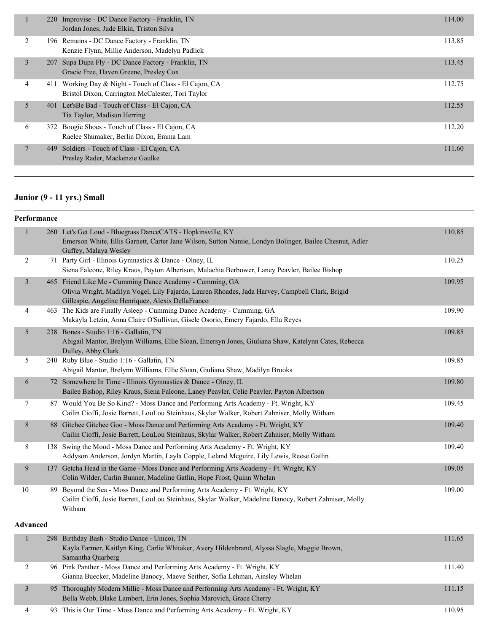|                | 220 Improvise - DC Dance Factory - Franklin, TN<br>Jordan Jones, Jude Elkin, Triston Silva                      | 114.00 |
|----------------|-----------------------------------------------------------------------------------------------------------------|--------|
| 2              | 196 Remains - DC Dance Factory - Franklin, TN<br>Kenzie Flynn, Millie Anderson, Madelyn Padlick                 | 113.85 |
| $\overline{3}$ | 207 Supa Dupa Fly - DC Dance Factory - Franklin, TN<br>Gracie Free, Haven Greene, Presley Cox                   | 113.45 |
| 4              | Working Day & Night - Touch of Class - El Cajon, CA<br>411<br>Bristol Dixon, Carrington McCalester, Tori Taylor | 112.75 |
| 5              | 401 Let's Be Bad - Touch of Class - El Cajon, CA<br>Tia Taylor, Madisun Herring                                 | 112.55 |
| 6              | 372 Boogie Shoes - Touch of Class - El Cajon, CA<br>Raelee Shumaker, Berlin Dixon, Emma Lam                     | 112.20 |
| $\tau$         | Soldiers - Touch of Class - El Cajon, CA<br>449<br>Presley Rader, Mackenzie Gaulke                              | 111.60 |

# **Junior (9 - 11 yrs.) Small**

### **Performance**

|                | 260 Let's Get Loud - Bluegrass DanceCATS - Hopkinsville, KY<br>Emerson White, Ellis Garnett, Carter Jane Wilson, Sutton Namie, Londyn Bolinger, Bailee Chesnut, Adler<br>Guffey, Malaya Wesley                   | 110.85 |
|----------------|------------------------------------------------------------------------------------------------------------------------------------------------------------------------------------------------------------------|--------|
| 2              | 71 Party Girl - Illinois Gymnastics & Dance - Olney, IL<br>Siena Falcone, Riley Kraus, Payton Albertson, Malachia Berbower, Laney Peavler, Bailee Bishop                                                         | 110.25 |
| $\overline{3}$ | 465 Friend Like Me - Cumming Dance Academy - Cumming, GA<br>Olivia Wright, Madilyn Vogel, Lily Fajardo, Lauren Rhoades, Jada Harvey, Campbell Clark, Brigid<br>Gillespie, Angeline Henriquez, Alexis DellaFranco | 109.95 |
| 4              | 463 The Kids are Finally Asleep - Cumming Dance Academy - Cumming, GA<br>Makayla Letzin, Anna Claire O'Sullivan, Gisele Osorio, Emery Fajardo, Ella Reyes                                                        | 109.90 |
| 5              | 238 Bones - Studio 1:16 - Gallatin, TN<br>Abigail Mantor, Brelynn Williams, Ellie Sloan, Emersyn Jones, Giuliana Shaw, Katelynn Cates, Rebecca<br>Dulley, Abby Clark                                             | 109.85 |
| 5              | 240 Ruby Blue - Studio 1:16 - Gallatin, TN<br>Abigail Mantor, Brelynn Williams, Ellie Sloan, Giuliana Shaw, Madilyn Brooks                                                                                       | 109.85 |
| 6              | 72 Somewhere In Time - Illinois Gymnastics & Dance - Olney, IL<br>Bailee Bishop, Riley Kraus, Siena Falcone, Laney Peavler, Celie Peavler, Payton Albertson                                                      | 109.80 |
| 7              | 87 Would You Be So Kind? - Moss Dance and Performing Arts Academy - Ft. Wright, KY<br>Cailin Cioffi, Josie Barrett, LouLou Steinhaus, Skylar Walker, Robert Zahniser, Molly Witham                               | 109.45 |
| 8              | 88 Gitchee Gitchee Goo - Moss Dance and Performing Arts Academy - Ft. Wright, KY<br>Cailin Cioffi, Josie Barrett, LouLou Steinhaus, Skylar Walker, Robert Zahniser, Molly Witham                                 | 109.40 |
| 8              | 138 Swing the Mood - Moss Dance and Performing Arts Academy - Ft. Wright, KY<br>Addyson Anderson, Jordyn Martin, Layla Copple, Leland Mcguire, Lily Lewis, Reese Gatlin                                          | 109.40 |
| 9              | 137 Getcha Head in the Game - Moss Dance and Performing Arts Academy - Ft. Wright, KY<br>Colin Wilder, Carlin Bunner, Madeline Gatlin, Hope Frost, Quinn Whelan                                                  | 109.05 |
| 10             | 89 Beyond the Sea - Moss Dance and Performing Arts Academy - Ft. Wright, KY<br>Cailin Cioffi, Josie Barrett, LouLou Steinhaus, Skylar Walker, Madeline Banocy, Robert Zahniser, Molly<br>Witham                  | 109.00 |

### **Advanced**

|  | 298 Birthday Bash - Studio Dance - Unicoi, TN<br>Kayla Farmer, Kaitlyn King, Carlie Whitaker, Avery Hildenbrand, Alyssa Slagle, Maggie Brown,<br>Samantha Quarberg | 111.65 |
|--|--------------------------------------------------------------------------------------------------------------------------------------------------------------------|--------|
|  | 96 Pink Panther - Moss Dance and Performing Arts Academy - Ft. Wright, KY<br>Gianna Buecker, Madeline Banocy, Maeve Seither, Sofia Lehman, Ainsley Whelan          | 111.40 |
|  | 95 Thoroughly Modern Millie - Moss Dance and Performing Arts Academy - Ft. Wright, KY<br>Bella Webb, Blake Lambert, Erin Jones, Sophia Marovich, Grace Cherry      | 111.15 |
|  | 93 This is Our Time - Moss Dance and Performing Arts Academy - Ft. Wright, KY                                                                                      | 110.95 |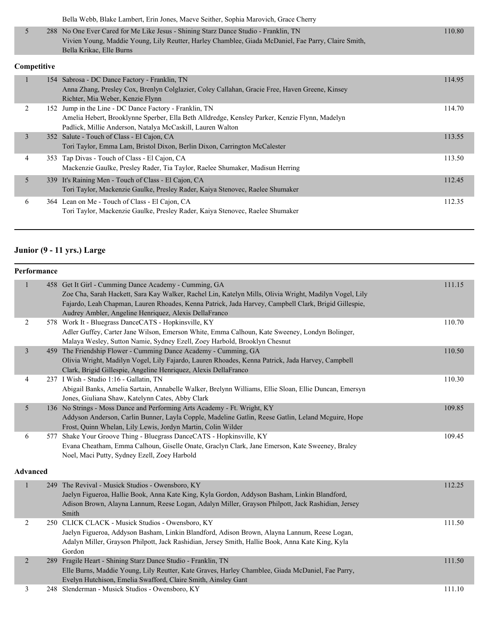|  | Bella Webb, Blake Lambert, Erin Jones, Maeve Seither, Sophia Marovich, Grace Cherry                 |        |
|--|-----------------------------------------------------------------------------------------------------|--------|
|  | 288 No One Ever Cared for Me Like Jesus - Shining Starz Dance Studio - Franklin, TN                 | 110.80 |
|  | Vivien Young, Maddie Young, Lily Reutter, Harley Chamblee, Giada McDaniel, Fae Parry, Claire Smith, |        |
|  | Bella Krikac, Elle Burns                                                                            |        |

### **Competitive**

|   | 154 Sabrosa - DC Dance Factory - Franklin, TN<br>Anna Zhang, Presley Cox, Brenlyn Colglazier, Coley Callahan, Gracie Free, Haven Greene, Kinsey<br>Richter, Mia Weber, Kenzie Flynn                                   | 114.95 |
|---|-----------------------------------------------------------------------------------------------------------------------------------------------------------------------------------------------------------------------|--------|
|   | 152 Jump in the Line - DC Dance Factory - Franklin, TN<br>Amelia Hebert, Brooklynne Sperber, Ella Beth Alldredge, Kensley Parker, Kenzie Flynn, Madelyn<br>Padlick, Millie Anderson, Natalya McCaskill, Lauren Walton | 114.70 |
| 3 | 352 Salute - Touch of Class - El Cajon, CA<br>Tori Taylor, Emma Lam, Bristol Dixon, Berlin Dixon, Carrington McCalester                                                                                               | 113.55 |
| 4 | 353 Tap Divas - Touch of Class - El Cajon, CA<br>Mackenzie Gaulke, Presley Rader, Tia Taylor, Raelee Shumaker, Madisun Herring                                                                                        | 113.50 |
| 5 | 339 It's Raining Men - Touch of Class - El Cajon, CA<br>Tori Taylor, Mackenzie Gaulke, Presley Rader, Kaiya Stenovec, Raelee Shumaker                                                                                 | 112.45 |
| 6 | 364 Lean on Me - Touch of Class - El Cajon, CA<br>Tori Taylor, Mackenzie Gaulke, Presley Rader, Kaiya Stenovec, Raelee Shumaker                                                                                       | 112.35 |

# **Junior (9 - 11 yrs.) Large**

|                 | Performance |                                                                                                                                                                                                                                                                                                                                  |        |
|-----------------|-------------|----------------------------------------------------------------------------------------------------------------------------------------------------------------------------------------------------------------------------------------------------------------------------------------------------------------------------------|--------|
|                 |             | 458 Get It Girl - Cumming Dance Academy - Cumming, GA<br>Zoe Cha, Sarah Hackett, Sara Kay Walker, Rachel Lin, Katelyn Mills, Olivia Wright, Madilyn Vogel, Lily<br>Fajardo, Leah Chapman, Lauren Rhoades, Kenna Patrick, Jada Harvey, Campbell Clark, Brigid Gillespie,<br>Audrey Ambler, Angeline Henriquez, Alexis DellaFranco | 111.15 |
| $\overline{2}$  |             | 578 Work It - Bluegrass DanceCATS - Hopkinsville, KY<br>Adler Guffey, Carter Jane Wilson, Emerson White, Emma Calhoun, Kate Sweeney, Londyn Bolinger,<br>Malaya Wesley, Sutton Namie, Sydney Ezell, Zoey Harbold, Brooklyn Chesnut                                                                                               | 110.70 |
| $\mathfrak{Z}$  |             | 459 The Friendship Flower - Cumming Dance Academy - Cumming, GA<br>Olivia Wright, Madilyn Vogel, Lily Fajardo, Lauren Rhoades, Kenna Patrick, Jada Harvey, Campbell<br>Clark, Brigid Gillespie, Angeline Henriquez, Alexis DellaFranco                                                                                           | 110.50 |
| 4               |             | 237 I Wish - Studio 1:16 - Gallatin, TN<br>Abigail Banks, Amelia Sartain, Annabelle Walker, Brelynn Williams, Ellie Sloan, Ellie Duncan, Emersyn<br>Jones, Giuliana Shaw, Katelynn Cates, Abby Clark                                                                                                                             | 110.30 |
| 5               |             | 136 No Strings - Moss Dance and Performing Arts Academy - Ft. Wright, KY<br>Addyson Anderson, Carlin Bunner, Layla Copple, Madeline Gatlin, Reese Gatlin, Leland Mcguire, Hope<br>Frost, Quinn Whelan, Lily Lewis, Jordyn Martin, Colin Wilder                                                                                   | 109.85 |
| 6               | 577         | Shake Your Groove Thing - Bluegrass DanceCATS - Hopkinsville, KY<br>Evana Cheatham, Emma Calhoun, Giselle Onate, Graclyn Clark, Jane Emerson, Kate Sweeney, Braley<br>Noel, Maci Putty, Sydney Ezell, Zoey Harbold                                                                                                               | 109.45 |
| <b>Advanced</b> |             |                                                                                                                                                                                                                                                                                                                                  |        |
| $\mathbf{1}$    |             | 249 The Revival - Musick Studios - Owensboro, KY<br>Jaelyn Figueroa, Hallie Book, Anna Kate King, Kyla Gordon, Addyson Basham, Linkin Blandford,<br>Adison Brown, Alayna Lannum, Reese Logan, Adalyn Miller, Grayson Philpott, Jack Rashidian, Jersey<br>Smith                                                                   | 112.25 |
| $\overline{2}$  |             | 250 CLICK CLACK - Musick Studios - Owensboro, KY<br>Jaelyn Figueroa, Addyson Basham, Linkin Blandford, Adison Brown, Alayna Lannum, Reese Logan,<br>Adalyn Miller, Grayson Philpott, Jack Rashidian, Jersey Smith, Hallie Book, Anna Kate King, Kyla<br>Gordon                                                                   | 111.50 |
| $\overline{2}$  |             | 289 Fragile Heart - Shining Starz Dance Studio - Franklin, TN<br>Elle Burns, Maddie Young, Lily Reutter, Kate Graves, Harley Chamblee, Giada McDaniel, Fae Parry,<br>Evelyn Hutchison, Emelia Swafford, Claire Smith, Ainsley Gant                                                                                               | 111.50 |
| 3               |             | 248 Slenderman - Musick Studios - Owensboro, KY                                                                                                                                                                                                                                                                                  | 111.10 |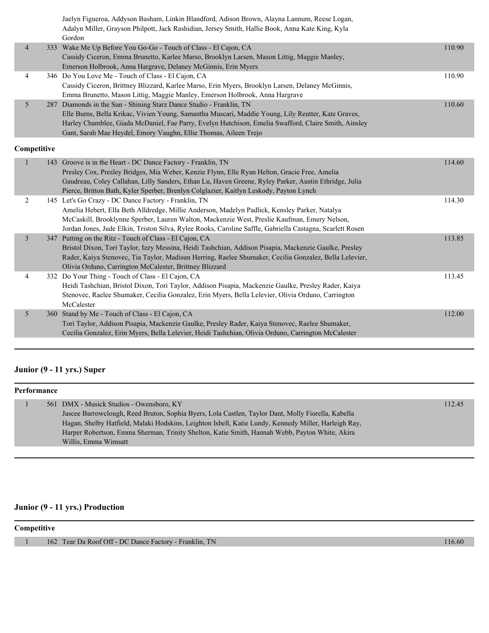Jaelyn Figueroa, Addyson Basham, Linkin Blandford, Adison Brown, Alayna Lannum, Reese Logan, Adalyn Miller, Grayson Philpott, Jack Rashidian, Jersey Smith, Hallie Book, Anna Kate King, Kyla Gordon

| 4 | 333 Wake Me Up Before You Go-Go - Touch of Class - El Cajon, CA                                      | 110.90 |
|---|------------------------------------------------------------------------------------------------------|--------|
|   | Cassidy Ciceron, Emma Brunetto, Karlee Marso, Brooklyn Larsen, Mason Littig, Maggie Manley,          |        |
|   | Emerson Holbrook, Anna Hargrave, Delaney McGinnis, Erin Myers                                        |        |
| 4 | 346 Do You Love Me - Touch of Class - El Cajon, CA                                                   | 110.90 |
|   | Cassidy Ciceron, Brittney Blizzard, Karlee Marso, Erin Myers, Brooklyn Larsen, Delaney McGinnis,     |        |
|   | Emma Brunetto, Mason Littig, Maggie Manley, Emerson Holbrook, Anna Hargrave                          |        |
|   | 287 Diamonds in the Sun - Shining Starz Dance Studio - Franklin, TN                                  | 110.60 |
|   | Elle Burns, Bella Krikac, Vivien Young, Samantha Muscari, Maddie Young, Lily Reutter, Kate Graves,   |        |
|   | Harley Chamblee, Giada McDaniel, Fae Parry, Evelyn Hutchison, Emelia Swafford, Claire Smith, Ainsley |        |
|   | Gant, Sarah Mae Heydel, Emory Vaughn, Ellie Thomas, Aileen Trejo                                     |        |

#### **Competitive**

|   | 143 Groove is in the Heart - DC Dance Factory - Franklin, TN                                              | 114.60 |
|---|-----------------------------------------------------------------------------------------------------------|--------|
|   | Presley Cox, Presley Bridges, Mia Weber, Kenzie Flynn, Elle Ryan Helton, Gracie Free, Amelia              |        |
|   | Gaudreau, Coley Callahan, Lilly Sanders, Ethan Lu, Haven Greene, Ryley Parker, Austin Ethridge, Julia     |        |
|   | Pierce, Britton Bath, Kyler Sperber, Brenlyn Colglazier, Kaitlyn Leskody, Payton Lynch                    |        |
| 2 | 145 Let's Go Crazy - DC Dance Factory - Franklin, TN                                                      | 114.30 |
|   | Amelia Hebert, Ella Beth Alldredge, Millie Anderson, Madelyn Padlick, Kensley Parker, Natalya             |        |
|   | McCaskill, Brooklynne Sperber, Lauren Walton, Mackenzie West, Preslie Kaufman, Emery Nelson,              |        |
|   | Jordan Jones, Jude Elkin, Triston Silva, Rylee Rooks, Caroline Saffle, Gabriella Castagna, Scarlett Rosen |        |
| 3 | 347 Putting on the Ritz - Touch of Class - El Cajon, CA                                                   | 113.85 |
|   | Bristol Dixon, Tori Taylor, Izzy Messina, Heidi Tashchian, Addison Pisapia, Mackenzie Gaulke, Presley     |        |
|   | Rader, Kaiya Stenovec, Tia Taylor, Madisun Herring, Raelee Shumaker, Cecilia Gonzalez, Bella Lelevier,    |        |
|   | Olivia Orduno, Carrington McCalester, Brittney Blizzard                                                   |        |
| 4 | 332 Do Your Thing - Touch of Class - El Cajon, CA                                                         | 113.45 |
|   | Heidi Tashchian, Bristol Dixon, Tori Taylor, Addison Pisapia, Mackenzie Gaulke, Presley Rader, Kaiya      |        |
|   | Stenovec, Raelee Shumaker, Cecilia Gonzalez, Erin Myers, Bella Lelevier, Olivia Orduno, Carrington        |        |
|   | McCalester                                                                                                |        |
| 5 | 360 Stand by Me - Touch of Class - El Cajon, CA                                                           | 112.00 |
|   | Tori Taylor, Addison Pisapia, Mackenzie Gaulke, Presley Rader, Kaiya Stenovec, Raelee Shumaker,           |        |
|   | Cecilia Gonzalez, Erin Myers, Bella Lelevier, Heidi Tashchian, Olivia Orduno, Carrington McCalester       |        |
|   |                                                                                                           |        |

### **Junior (9 - 11 yrs.) Super**

| Performance |  |                                                                                                      |        |
|-------------|--|------------------------------------------------------------------------------------------------------|--------|
|             |  | 561 DMX - Musick Studios - Owensboro, KY                                                             | 112.45 |
|             |  | Jascee Barrowclough, Reed Bruton, Sophia Byers, Lola Castlen, Taylor Dant, Molly Fiorella, Kabella   |        |
|             |  | Hagan, Shelby Hatfield, Malaki Hodskins, Leighton Isbell, Katie Lundy, Kennedy Miller, Harleigh Ray, |        |
|             |  | Harper Robertson, Emma Sherman, Trinity Shelton, Katie Smith, Hannah Webb, Payton White, Akira       |        |
|             |  | Willis, Emma Wimsatt                                                                                 |        |
|             |  |                                                                                                      |        |

### **Junior (9 - 11 yrs.) Production**

### **Competitive**

1 162 Tear Da Roof Off - DC Dance Factory - Franklin, TN 116.60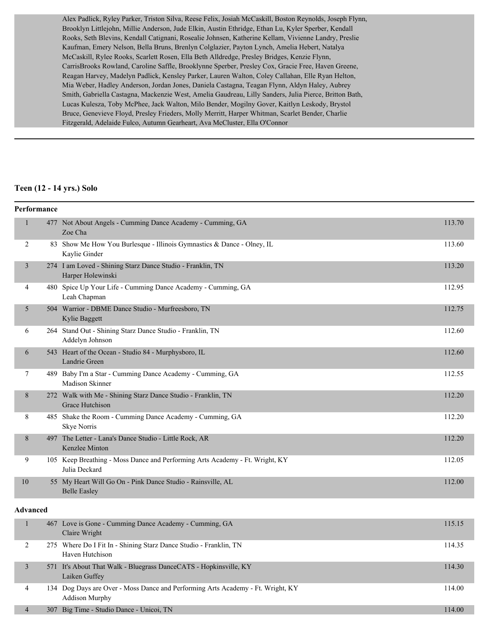Alex Padlick, Ryley Parker, Triston Silva, Reese Felix, Josiah McCaskill, Boston Reynolds, Joseph Flynn, Brooklyn Littlejohn, Millie Anderson, Jude Elkin, Austin Ethridge, Ethan Lu, Kyler Sperber, Kendall Rooks, Seth Blevins, Kendall Catignani, Rosealie Johnsen, Katherine Kellam, Vivienne Landry, Preslie Kaufman, Emery Nelson, Bella Bruns, Brenlyn Colglazier, Payton Lynch, Amelia Hebert, Natalya McCaskill, Rylee Rooks, Scarlett Rosen, Ella Beth Alldredge, Presley Bridges, Kenzie Flynn, CarrisBrooks Rowland, Caroline Saffle, Brooklynne Sperber, Presley Cox, Gracie Free, Haven Greene, Reagan Harvey, Madelyn Padlick, Kensley Parker, Lauren Walton, Coley Callahan, Elle Ryan Helton, Mia Weber, Hadley Anderson, Jordan Jones, Daniela Castagna, Teagan Flynn, Aldyn Haley, Aubrey Smith, Gabriella Castagna, Mackenzie West, Amelia Gaudreau, Lilly Sanders, Julia Pierce, Britton Bath, Lucas Kulesza, Toby McPhee, Jack Walton, Milo Bender, Mogilny Gover, Kaitlyn Leskody, Brystol Bruce, Genevieve Floyd, Presley Frieders, Molly Merritt, Harper Whitman, Scarlet Bender, Charlie Fitzgerald, Adelaide Fulco, Autumn Gearheart, Ava McCluster, Ella O'Connor

#### **Teen (12 - 14 yrs.) Solo**

|                | Performance     |                                                                                                          |        |
|----------------|-----------------|----------------------------------------------------------------------------------------------------------|--------|
| $\mathbf{1}$   |                 | 477 Not About Angels - Cumming Dance Academy - Cumming, GA<br>Zoe Cha                                    | 113.70 |
| $\overline{2}$ |                 | 83 Show Me How You Burlesque - Illinois Gymnastics & Dance - Olney, IL<br>Kaylie Ginder                  | 113.60 |
| $\overline{3}$ |                 | 274 I am Loved - Shining Starz Dance Studio - Franklin, TN<br>Harper Holewinski                          | 113.20 |
| 4              |                 | 480 Spice Up Your Life - Cumming Dance Academy - Cumming, GA<br>Leah Chapman                             | 112.95 |
| 5              |                 | 504 Warrior - DBME Dance Studio - Murfreesboro, TN<br>Kylie Baggett                                      | 112.75 |
| 6              |                 | 264 Stand Out - Shining Starz Dance Studio - Franklin, TN<br>Addelyn Johnson                             | 112.60 |
| 6              |                 | 543 Heart of the Ocean - Studio 84 - Murphysboro, IL<br>Landrie Green                                    | 112.60 |
| $\tau$         |                 | 489 Baby I'm a Star - Cumming Dance Academy - Cumming, GA<br>Madison Skinner                             | 112.55 |
| 8              |                 | 272 Walk with Me - Shining Starz Dance Studio - Franklin, TN<br>Grace Hutchison                          | 112.20 |
| 8              |                 | 485 Shake the Room - Cumming Dance Academy - Cumming, GA<br><b>Skye Norris</b>                           | 112.20 |
| 8              |                 | 497 The Letter - Lana's Dance Studio - Little Rock, AR<br>Kenzlee Minton                                 | 112.20 |
| 9              |                 | 105 Keep Breathing - Moss Dance and Performing Arts Academy - Ft. Wright, KY<br>Julia Deckard            | 112.05 |
| 10             |                 | 55 My Heart Will Go On - Pink Dance Studio - Rainsville, AL<br><b>Belle Easley</b>                       | 112.00 |
|                | <b>Advanced</b> |                                                                                                          |        |
| $\mathbf{1}$   |                 | 467 Love is Gone - Cumming Dance Academy - Cumming, GA<br>Claire Wright                                  | 115.15 |
| 2              |                 | 275 Where Do I Fit In - Shining Starz Dance Studio - Franklin, TN<br>Haven Hutchison                     | 114.35 |
| $\mathfrak{Z}$ |                 | 571 It's About That Walk - Bluegrass DanceCATS - Hopkinsville, KY<br>Laiken Guffey                       | 114.30 |
| 4              |                 | 134 Dog Days are Over - Moss Dance and Performing Arts Academy - Ft. Wright, KY<br><b>Addison Murphy</b> | 114.00 |
| $\overline{4}$ |                 | 307 Big Time - Studio Dance - Unicoi, TN                                                                 | 114.00 |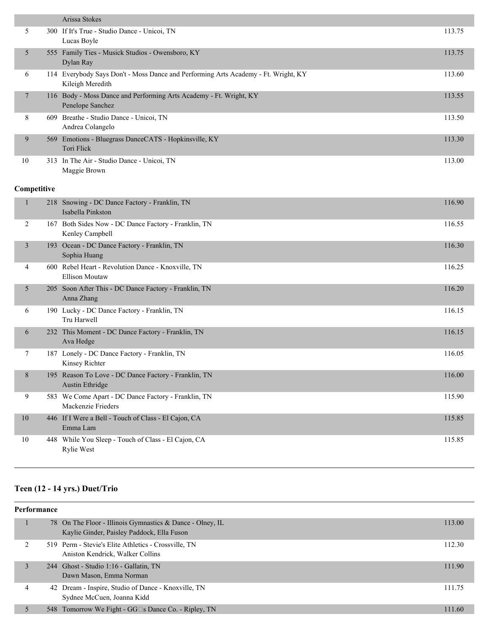|                | Arissa Stokes                                                                                          |        |
|----------------|--------------------------------------------------------------------------------------------------------|--------|
| 5              | 300 If It's True - Studio Dance - Unicoi, TN<br>Lucas Boyle                                            | 113.75 |
| 5              | 555 Family Ties - Musick Studios - Owensboro, KY<br>Dylan Ray                                          | 113.75 |
| 6              | 114 Everybody Says Don't - Moss Dance and Performing Arts Academy - Ft. Wright, KY<br>Kileigh Meredith | 113.60 |
| $\overline{7}$ | 116 Body - Moss Dance and Performing Arts Academy - Ft. Wright, KY<br>Penelope Sanchez                 | 113.55 |
| 8              | 609 Breathe - Studio Dance - Unicoi, TN<br>Andrea Colangelo                                            | 113.50 |
| 9              | 569 Emotions - Bluegrass DanceCATS - Hopkinsville, KY<br>Tori Flick                                    | 113.30 |
| 10             | 313 In The Air - Studio Dance - Unicoi, TN<br>Maggie Brown                                             | 113.00 |
| Competitive    |                                                                                                        |        |
| $\mathbf{1}$   | 218 Snowing - DC Dance Factory - Franklin, TN<br>Isabella Pinkston                                     | 116.90 |
| 2              | 167 Both Sides Now - DC Dance Factory - Franklin, TN<br>Kenley Campbell                                | 116.55 |
| 3              | 193 Ocean - DC Dance Factory - Franklin, TN<br>Sophia Huang                                            | 116.30 |
| 4              | 600 Rebel Heart - Revolution Dance - Knoxville, TN<br><b>Ellison Moutaw</b>                            | 116.25 |
| 5              | 205 Soon After This - DC Dance Factory - Franklin, TN<br>Anna Zhang                                    | 116.20 |
| 6              | 190 Lucky - DC Dance Factory - Franklin, TN<br>Tru Harwell                                             | 116.15 |
| 6              | 232 This Moment - DC Dance Factory - Franklin, TN<br>Ava Hedge                                         | 116.15 |
| 7              | 187 Lonely - DC Dance Factory - Franklin, TN<br>Kinsey Richter                                         | 116.05 |
| 8              | 195 Reason To Love - DC Dance Factory - Franklin, TN<br><b>Austin Ethridge</b>                         | 116.00 |
| 9              | 583 We Come Apart - DC Dance Factory - Franklin, TN<br>Mackenzie Frieders                              | 115.90 |
| $10\,$         | 446 If I Were a Bell - Touch of Class - El Cajon, CA<br>Emma Lam                                       | 115.85 |
| 10             | 448 While You Sleep - Touch of Class - El Cajon, CA<br>Rylie West                                      | 115.85 |

# **Teen (12 - 14 yrs.) Duet/Trio**

| Performance |   |  |                                                                                                         |        |
|-------------|---|--|---------------------------------------------------------------------------------------------------------|--------|
|             |   |  | 78 On The Floor - Illinois Gymnastics & Dance - Olney, IL<br>Kaylie Ginder, Paisley Paddock, Ella Fuson | 113.00 |
|             |   |  | 519 Perm - Stevie's Elite Athletics - Crossville, TN<br>Aniston Kendrick, Walker Collins                | 112.30 |
|             | 3 |  | 244 Ghost - Studio 1:16 - Gallatin, TN<br>Dawn Mason, Emma Norman                                       | 111.90 |
|             | 4 |  | 42 Dream - Inspire, Studio of Dance - Knoxville, TN<br>Sydnee McCuen, Joanna Kidd                       | 111.75 |
|             |   |  | 548 Tomorrow We Fight - GG□s Dance Co. - Ripley, TN                                                     | 111.60 |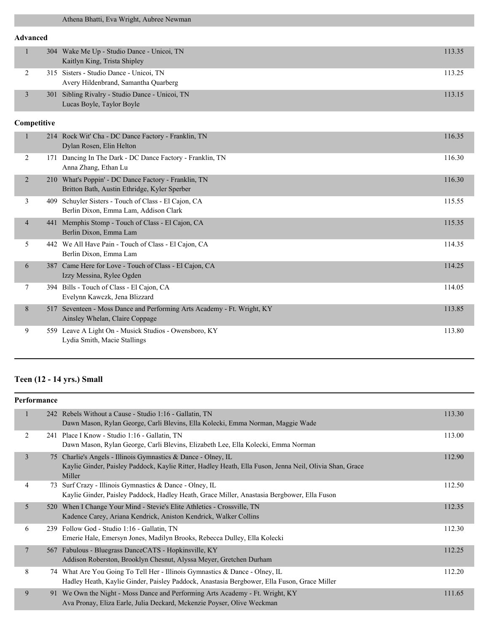### **Advanced**

| 304 Wake Me Up - Studio Dance - Unicoi, TN<br>Kaitlyn King, Trista Shipley      | 113.35 |
|---------------------------------------------------------------------------------|--------|
| 315 Sisters - Studio Dance - Unicoi, TN<br>Avery Hildenbrand, Samantha Quarberg | 113.25 |
| 301 Sibling Rivalry - Studio Dance - Unicoi, TN<br>Lucas Boyle, Taylor Boyle    | 113.15 |

#### **Competitive**

|                |     | 214 Rock Wit' Cha - DC Dance Factory - Franklin, TN<br>Dylan Rosen, Elin Helton                       | 116.35 |
|----------------|-----|-------------------------------------------------------------------------------------------------------|--------|
| 2              | 171 | Dancing In The Dark - DC Dance Factory - Franklin, TN<br>Anna Zhang, Ethan Lu                         | 116.30 |
| 2              | 210 | What's Poppin' - DC Dance Factory - Franklin, TN<br>Britton Bath, Austin Ethridge, Kyler Sperber      | 116.30 |
| 3              | 409 | Schuyler Sisters - Touch of Class - El Cajon, CA<br>Berlin Dixon, Emma Lam, Addison Clark             | 115.55 |
| $\overline{4}$ | 441 | Memphis Stomp - Touch of Class - El Cajon, CA<br>Berlin Dixon, Emma Lam                               | 115.35 |
| 5              |     | 442 We All Have Pain - Touch of Class - El Cajon, CA<br>Berlin Dixon, Emma Lam                        | 114.35 |
| 6              | 387 | Came Here for Love - Touch of Class - El Cajon, CA<br>Izzy Messina, Rylee Ogden                       | 114.25 |
| 7              | 394 | Bills - Touch of Class - El Cajon, CA<br>Evelynn Kawczk, Jena Blizzard                                | 114.05 |
| 8              | 517 | Seventeen - Moss Dance and Performing Arts Academy - Ft. Wright, KY<br>Ainsley Whelan, Claire Coppage | 113.85 |
| 9              | 559 | Leave A Light On - Musick Studios - Owensboro, KY<br>Lydia Smith, Macie Stallings                     | 113.80 |
|                |     |                                                                                                       |        |

# **Teen (12 - 14 yrs.) Small**

| Performance |                       |                                                                                                                                                                                    |        |  |
|-------------|-----------------------|------------------------------------------------------------------------------------------------------------------------------------------------------------------------------------|--------|--|
|             | $\mathbf{1}$          | 242 Rebels Without a Cause - Studio 1:16 - Gallatin, TN<br>Dawn Mason, Rylan George, Carli Blevins, Ella Kolecki, Emma Norman, Maggie Wade                                         | 113.30 |  |
|             | 2                     | 241 Place I Know - Studio 1:16 - Gallatin, TN<br>Dawn Mason, Rylan George, Carli Blevins, Elizabeth Lee, Ella Kolecki, Emma Norman                                                 | 113.00 |  |
|             | 3                     | 75 Charlie's Angels - Illinois Gymnastics & Dance - Olney, IL<br>Kaylie Ginder, Paisley Paddock, Kaylie Ritter, Hadley Heath, Ella Fuson, Jenna Neil, Olivia Shan, Grace<br>Miller | 112.90 |  |
|             | 4                     | 73 Surf Crazy - Illinois Gymnastics & Dance - Olney, IL<br>Kaylie Ginder, Paisley Paddock, Hadley Heath, Grace Miller, Anastasia Bergbower, Ella Fuson                             | 112.50 |  |
|             | 5<br>520              | When I Change Your Mind - Stevie's Elite Athletics - Crossville, TN<br>Kadence Carey, Ariana Kendrick, Aniston Kendrick, Walker Collins                                            | 112.35 |  |
|             | 6                     | 239 Follow God - Studio 1:16 - Gallatin, TN<br>Emerie Hale, Emersyn Jones, Madilyn Brooks, Rebecca Dulley, Ella Kolecki                                                            | 112.30 |  |
|             | $\overline{7}$<br>567 | Fabulous - Bluegrass DanceCATS - Hopkinsville, KY<br>Addison Roberston, Brooklyn Chesnut, Alyssa Meyer, Gretchen Durham                                                            | 112.25 |  |
|             | 8                     | 74 What Are You Going To Tell Her - Illinois Gymnastics & Dance - Olney, IL<br>Hadley Heath, Kaylie Ginder, Paisley Paddock, Anastasia Bergbower, Ella Fuson, Grace Miller         | 112.20 |  |
|             | 9                     | 91 We Own the Night - Moss Dance and Performing Arts Academy - Ft. Wright, KY<br>Ava Pronay, Eliza Earle, Julia Deckard, Mckenzie Poyser, Olive Weckman                            | 111.65 |  |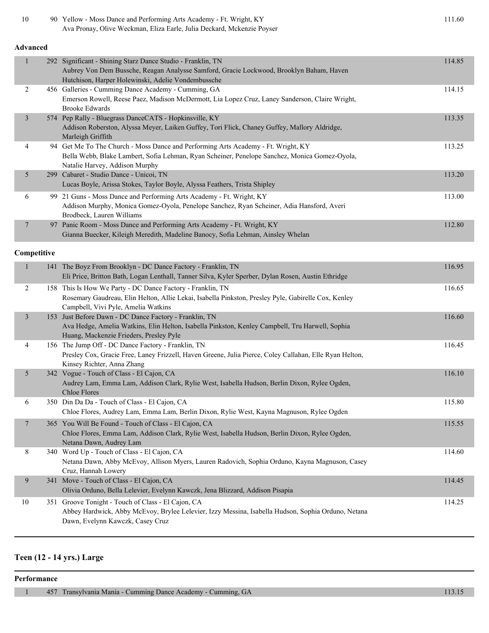| $10\,$         |  | 90 Yellow - Moss Dance and Performing Arts Academy - Ft. Wright, KY<br>Ava Pronay, Olive Weckman, Eliza Earle, Julia Deckard, Mckenzie Poyser                                                                        | 111.60 |  |  |
|----------------|--|----------------------------------------------------------------------------------------------------------------------------------------------------------------------------------------------------------------------|--------|--|--|
| Advanced       |  |                                                                                                                                                                                                                      |        |  |  |
| $\mathbf{1}$   |  | 292 Significant - Shining Starz Dance Studio - Franklin, TN<br>Aubrey Von Dem Bussche, Reagan Analysse Samford, Gracie Lockwood, Brooklyn Baham, Haven<br>Hutchison, Harper Holewinski, Adelie Vondembussche         | 114.85 |  |  |
| 2              |  | 456 Galleries - Cumming Dance Academy - Cumming, GA<br>Emerson Rowell, Reese Paez, Madison McDermott, Lia Lopez Cruz, Laney Sanderson, Claire Wright,<br><b>Brooke Edwards</b>                                       | 114.15 |  |  |
| $\mathfrak{Z}$ |  | 574 Pep Rally - Bluegrass DanceCATS - Hopkinsville, KY<br>Addison Roberston, Alyssa Meyer, Laiken Guffey, Tori Flick, Chaney Guffey, Mallory Aldridge,<br>Marleigh Griffith                                          | 113.35 |  |  |
| 4              |  | 94 Get Me To The Church - Moss Dance and Performing Arts Academy - Ft. Wright, KY<br>Bella Webb, Blake Lambert, Sofia Lehman, Ryan Scheiner, Penelope Sanchez, Monica Gomez-Oyola,<br>Natalie Harvey, Addison Murphy | 113.25 |  |  |
| 5              |  | 299 Cabaret - Studio Dance - Unicoi, TN<br>Lucas Boyle, Arissa Stokes, Taylor Boyle, Alyssa Feathers, Trista Shipley                                                                                                 | 113.20 |  |  |
| 6              |  | 99 21 Guns - Moss Dance and Performing Arts Academy - Ft. Wright, KY<br>Addison Murphy, Monica Gomez-Oyola, Penelope Sanchez, Ryan Scheiner, Adia Hansford, Averi<br>Brodbeck, Lauren Williams                       | 113.00 |  |  |
| 7              |  | 97 Panic Room - Moss Dance and Performing Arts Academy - Ft. Wright, KY<br>Gianna Buecker, Kileigh Meredith, Madeline Banocy, Sofia Lehman, Ainsley Whelan                                                           | 112.80 |  |  |
| Competitive    |  |                                                                                                                                                                                                                      |        |  |  |
| $\mathbf{1}$   |  | 141 The Boyz From Brooklyn - DC Dance Factory - Franklin, TN<br>Eli Price, Britton Bath, Logan Lenthall, Tanner Silva, Kyler Sperber, Dylan Rosen, Austin Ethridge                                                   | 116.95 |  |  |
| $\overline{c}$ |  | 158 This Is How We Party - DC Dance Factory - Franklin, TN<br>Rosemary Gaudreau, Elin Helton, Allie Lekai, Isabella Pinkston, Presley Pyle, Gabirelle Cox, Kenley<br>Campbell, Vivi Pyle, Amelia Watkins             | 116.65 |  |  |
| 3              |  | 153 Just Before Dawn - DC Dance Factory - Franklin, TN<br>Ava Hedge, Amelia Watkins, Elin Helton, Isabella Pinkston, Kenley Campbell, Tru Harwell, Sophia<br>Huang, Mackenzie Frieders, Presley Pyle                 | 116.60 |  |  |
| 4              |  | 156 The Jump Off - DC Dance Factory - Franklin, TN<br>Presley Cox, Gracie Free, Laney Frizzell, Haven Greene, Julia Pierce, Coley Callahan, Elle Ryan Helton,<br>Kinsey Richter, Anna Zhang                          | 116.45 |  |  |
| 5              |  | 342 Vogue - Touch of Class - El Cajon, CA<br>Audrey Lam, Emma Lam, Addison Clark, Rylie West, Isabella Hudson, Berlin Dixon, Rylee Ogden,<br><b>Chloe Flores</b>                                                     | 116.10 |  |  |
| 6              |  | 350 Din Da Da - Touch of Class - El Cajon, CA<br>Chloe Flores, Audrey Lam, Emma Lam, Berlin Dixon, Rylie West, Kayna Magnuson, Rylee Ogden                                                                           | 115.80 |  |  |
| 7              |  | 365 You Will Be Found - Touch of Class - El Cajon, CA<br>Chloe Flores, Emma Lam, Addison Clark, Rylie West, Isabella Hudson, Berlin Dixon, Rylee Ogden,<br>Netana Dawn, Audrey Lam                                   | 115.55 |  |  |
| 8              |  | 340 Word Up - Touch of Class - El Cajon, CA<br>Netana Dawn, Abby McEvoy, Allison Myers, Lauren Radovich, Sophia Orduno, Kayna Magnuson, Casey<br>Cruz, Hannah Lowery                                                 | 114.60 |  |  |
| 9              |  | 341 Move - Touch of Class - El Cajon, CA<br>Olivia Orduno, Bella Lelevier, Evelynn Kawczk, Jena Blizzard, Addison Pisapia                                                                                            | 114.45 |  |  |
| 10             |  | 351 Groove Tonight - Touch of Class - El Cajon, CA<br>Abbey Hardwick, Abby McEvoy, Brylee Lelevier, Izzy Messina, Isabella Hudson, Sophia Orduno, Netana<br>Dawn, Evelynn Kawczk, Casey Cruz                         | 114.25 |  |  |

# **Teen (12 - 14 yrs.) Large**

**Performance**

1 457 Transylvania Mania - Cumming Dance Academy - Cumming, GA 113.15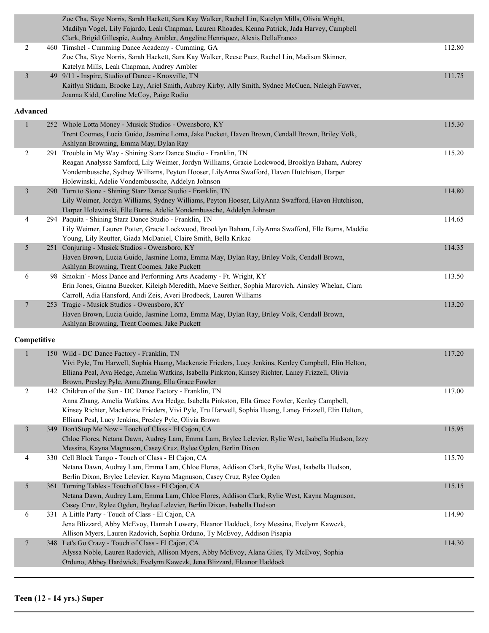|                 | Zoe Cha, Skye Norris, Sarah Hackett, Sara Kay Walker, Rachel Lin, Katelyn Mills, Olivia Wright,        |        |
|-----------------|--------------------------------------------------------------------------------------------------------|--------|
|                 | Madilyn Vogel, Lily Fajardo, Leah Chapman, Lauren Rhoades, Kenna Patrick, Jada Harvey, Campbell        |        |
|                 | Clark, Brigid Gillespie, Audrey Ambler, Angeline Henriquez, Alexis DellaFranco                         |        |
| 2               | 460 Timshel - Cumming Dance Academy - Cumming, GA                                                      | 112.80 |
|                 | Zoe Cha, Skye Norris, Sarah Hackett, Sara Kay Walker, Reese Paez, Rachel Lin, Madison Skinner,         |        |
|                 | Katelyn Mills, Leah Chapman, Audrey Ambler                                                             |        |
| $\mathfrak{Z}$  | 49 9/11 - Inspire, Studio of Dance - Knoxville, TN                                                     | 111.75 |
|                 | Kaitlyn Stidam, Brooke Lay, Ariel Smith, Aubrey Kirby, Ally Smith, Sydnee McCuen, Naleigh Fawver,      |        |
|                 | Joanna Kidd, Caroline McCoy, Paige Rodio                                                               |        |
| <b>Advanced</b> |                                                                                                        |        |
| $\mathbf{1}$    | 252 Whole Lotta Money - Musick Studios - Owensboro, KY                                                 | 115.30 |
|                 | Trent Coomes, Lucia Guido, Jasmine Loma, Jake Puckett, Haven Brown, Cendall Brown, Briley Volk,        |        |
|                 | Ashlynn Browning, Emma May, Dylan Ray                                                                  |        |
| $\overline{c}$  | 291 Trouble in My Way - Shining Starz Dance Studio - Franklin, TN                                      | 115.20 |
|                 | Reagan Analysse Samford, Lily Weimer, Jordyn Williams, Gracie Lockwood, Brooklyn Baham, Aubrey         |        |
|                 | Vondembussche, Sydney Williams, Peyton Hooser, LilyAnna Swafford, Haven Hutchison, Harper              |        |
|                 | Holewinski, Adelie Vondembussche, Addelyn Johnson                                                      |        |
| 3               | 290 Turn to Stone - Shining Starz Dance Studio - Franklin, TN                                          | 114.80 |
|                 | Lily Weimer, Jordyn Williams, Sydney Williams, Peyton Hooser, LilyAnna Swafford, Haven Hutchison,      |        |
|                 | Harper Holewinski, Elle Burns, Adelie Vondembussche, Addelyn Johnson                                   |        |
| 4               | 294 Paquita - Shining Starz Dance Studio - Franklin, TN                                                | 114.65 |
|                 | Lily Weimer, Lauren Potter, Gracie Lockwood, Brooklyn Baham, LilyAnna Swafford, Elle Burns, Maddie     |        |
|                 | Young, Lily Reutter, Giada McDaniel, Claire Smith, Bella Krikac                                        |        |
| 5               | 251 Conjuring - Musick Studios - Owensboro, KY                                                         | 114.35 |
|                 | Haven Brown, Lucia Guido, Jasmine Loma, Emma May, Dylan Ray, Briley Volk, Cendall Brown,               |        |
|                 | Ashlynn Browning, Trent Coomes, Jake Puckett                                                           |        |
| 6               | 98 Smokin' - Moss Dance and Performing Arts Academy - Ft. Wright, KY                                   | 113.50 |
|                 | Erin Jones, Gianna Buecker, Kileigh Meredith, Maeve Seither, Sophia Marovich, Ainsley Whelan, Ciara    |        |
|                 | Carroll, Adia Hansford, Andi Zeis, Averi Brodbeck, Lauren Williams                                     |        |
| 7               | 253 Tragic - Musick Studios - Owensboro, KY                                                            | 113.20 |
|                 | Haven Brown, Lucia Guido, Jasmine Loma, Emma May, Dylan Ray, Briley Volk, Cendall Brown,               |        |
|                 | Ashlynn Browning, Trent Coomes, Jake Puckett                                                           |        |
| Competitive     |                                                                                                        |        |
| $\mathbf{1}$    | 150 Wild - DC Dance Factory - Franklin, TN                                                             | 117.20 |
|                 | Vivi Pyle, Tru Harwell, Sophia Huang, Mackenzie Frieders, Lucy Jenkins, Kenley Campbell, Elin Helton,  |        |
|                 | Elliana Peal, Ava Hedge, Amelia Watkins, Isabella Pinkston, Kinsey Richter, Laney Frizzell, Olivia     |        |
|                 | Brown, Presley Pyle, Anna Zhang, Ella Grace Fowler                                                     |        |
| 2               | 142 Children of the Sun - DC Dance Factory - Franklin, TN                                              | 117.00 |
|                 | Anna Zhang, Amelia Watkins, Ava Hedge, Isabella Pinkston, Ella Grace Fowler, Kenley Campbell,          |        |
|                 | Kinsey Richter, Mackenzie Frieders, Vivi Pyle, Tru Harwell, Sophia Huang, Laney Frizzell, Elin Helton, |        |
|                 | Elliana Peal, Lucy Jenkins, Presley Pyle, Olivia Brown                                                 |        |
| $\mathfrak{Z}$  | 349 Don'tStop Me Now - Touch of Class - El Cajon, CA                                                   | 115.95 |
|                 | Chloe Flores, Netana Dawn, Audrey Lam, Emma Lam, Brylee Lelevier, Rylie West, Isabella Hudson, Izzy    |        |
|                 | Messina, Kayna Magnuson, Casey Cruz, Rylee Ogden, Berlin Dixon                                         |        |
| 4               | 330 Cell Block Tango - Touch of Class - El Cajon, CA                                                   | 115.70 |
|                 | Netana Dawn, Audrey Lam, Emma Lam, Chloe Flores, Addison Clark, Rylie West, Isabella Hudson,           |        |
|                 | Berlin Dixon, Brylee Lelevier, Kayna Magnuson, Casey Cruz, Rylee Ogden                                 |        |
| 5               | 361 Turning Tables - Touch of Class - El Cajon, CA                                                     | 115.15 |
|                 | Netana Dawn, Audrey Lam, Emma Lam, Chloe Flores, Addison Clark, Rylie West, Kayna Magnuson,            |        |
|                 | Casey Cruz, Rylee Ogden, Brylee Lelevier, Berlin Dixon, Isabella Hudson                                |        |
| 6               | 331 A Little Party - Touch of Class - El Cajon, CA                                                     | 114.90 |
|                 | Jena Blizzard, Abby McEvoy, Hannah Lowery, Eleanor Haddock, Izzy Messina, Evelynn Kawczk,              |        |
|                 | Allison Myers, Lauren Radovich, Sophia Orduno, Ty McEvoy, Addison Pisapia                              |        |
| 7               | 348 Let's Go Crazy - Touch of Class - El Cajon, CA                                                     | 114.30 |
|                 | Alyssa Noble, Lauren Radovich, Allison Myers, Abby McEvoy, Alana Giles, Ty McEvoy, Sophia              |        |
|                 | Orduno, Abbey Hardwick, Evelynn Kawczk, Jena Blizzard, Eleanor Haddock                                 |        |
|                 |                                                                                                        |        |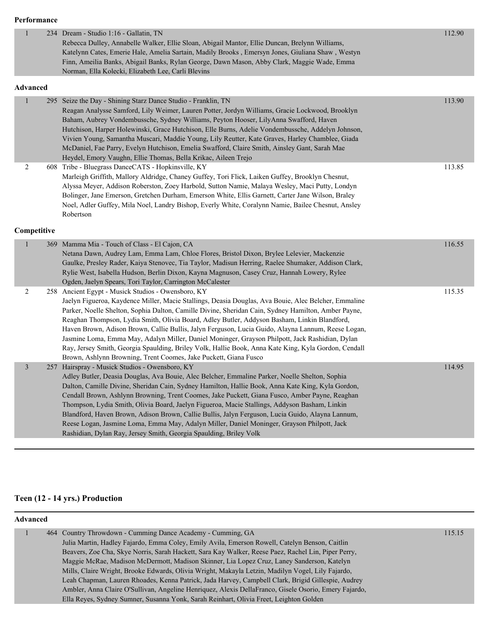#### **Performance**

| $\mathbf{1}$     | 234 Dream - Studio 1:16 - Gallatin, TN                                                                                                                                                                                                                                                                                                                                                                                                                                                                                                                                                                                                                                                                                                                 | 112.90 |
|------------------|--------------------------------------------------------------------------------------------------------------------------------------------------------------------------------------------------------------------------------------------------------------------------------------------------------------------------------------------------------------------------------------------------------------------------------------------------------------------------------------------------------------------------------------------------------------------------------------------------------------------------------------------------------------------------------------------------------------------------------------------------------|--------|
|                  | Rebecca Dulley, Annabelle Walker, Ellie Sloan, Abigail Mantor, Ellie Duncan, Brelynn Williams,                                                                                                                                                                                                                                                                                                                                                                                                                                                                                                                                                                                                                                                         |        |
|                  | Katelynn Cates, Emerie Hale, Amelia Sartain, Madily Brooks, Emersyn Jones, Giuliana Shaw, Westyn                                                                                                                                                                                                                                                                                                                                                                                                                                                                                                                                                                                                                                                       |        |
|                  | Finn, Ameilia Banks, Abigail Banks, Rylan George, Dawn Mason, Abby Clark, Maggie Wade, Emma                                                                                                                                                                                                                                                                                                                                                                                                                                                                                                                                                                                                                                                            |        |
|                  | Norman, Ella Kolecki, Elizabeth Lee, Carli Blevins                                                                                                                                                                                                                                                                                                                                                                                                                                                                                                                                                                                                                                                                                                     |        |
| Advanced         |                                                                                                                                                                                                                                                                                                                                                                                                                                                                                                                                                                                                                                                                                                                                                        |        |
| $\mathbf{1}$     | 295 Seize the Day - Shining Starz Dance Studio - Franklin, TN<br>Reagan Analysse Samford, Lily Weimer, Lauren Potter, Jordyn Williams, Gracie Lockwood, Brooklyn<br>Baham, Aubrey Vondembussche, Sydney Williams, Peyton Hooser, LilyAnna Swafford, Haven<br>Hutchison, Harper Holewinski, Grace Hutchison, Elle Burns, Adelie Vondembussche, Addelyn Johnson,<br>Vivien Young, Samantha Muscari, Maddie Young, Lily Reutter, Kate Graves, Harley Chamblee, Giada<br>McDaniel, Fae Parry, Evelyn Hutchison, Emelia Swafford, Claire Smith, Ainsley Gant, Sarah Mae<br>Heydel, Emory Vaughn, Ellie Thomas, Bella Krikac, Aileen Trejo                                                                                                                   | 113.90 |
| $\sqrt{2}$       | 608 Tribe - Bluegrass DanceCATS - Hopkinsville, KY<br>Marleigh Griffith, Mallory Aldridge, Chaney Guffey, Tori Flick, Laiken Guffey, Brooklyn Chesnut,<br>Alyssa Meyer, Addison Roberston, Zoey Harbold, Sutton Namie, Malaya Wesley, Maci Putty, Londyn<br>Bolinger, Jane Emerson, Gretchen Durham, Emerson White, Ellis Garnett, Carter Jane Wilson, Braley<br>Noel, Adler Guffey, Mila Noel, Landry Bishop, Everly White, Coralynn Namie, Bailee Chesnut, Ansley<br>Robertson                                                                                                                                                                                                                                                                       | 113.85 |
| Competitive      |                                                                                                                                                                                                                                                                                                                                                                                                                                                                                                                                                                                                                                                                                                                                                        |        |
| $\mathbf{1}$     | 369 Mamma Mia - Touch of Class - El Cajon, CA<br>Netana Dawn, Audrey Lam, Emma Lam, Chloe Flores, Bristol Dixon, Brylee Lelevier, Mackenzie<br>Gaulke, Presley Rader, Kaiya Stenovec, Tia Taylor, Madisun Herring, Raelee Shumaker, Addison Clark,<br>Rylie West, Isabella Hudson, Berlin Dixon, Kayna Magnuson, Casey Cruz, Hannah Lowery, Rylee<br>Ogden, Jaelyn Spears, Tori Taylor, Carrington McCalester                                                                                                                                                                                                                                                                                                                                          | 116.55 |
| $\boldsymbol{2}$ |                                                                                                                                                                                                                                                                                                                                                                                                                                                                                                                                                                                                                                                                                                                                                        |        |
|                  | 258 Ancient Egypt - Musick Studios - Owensboro, KY<br>Jaelyn Figueroa, Kaydence Miller, Macie Stallings, Deasia Douglas, Ava Bouie, Alec Belcher, Emmaline<br>Parker, Noelle Shelton, Sophia Dalton, Camille Divine, Sheridan Cain, Sydney Hamilton, Amber Payne,<br>Reaghan Thompson, Lydia Smith, Olivia Board, Adley Butler, Addyson Basham, Linkin Blandford,<br>Haven Brown, Adison Brown, Callie Bullis, Jalyn Ferguson, Lucia Guido, Alayna Lannum, Reese Logan,<br>Jasmine Loma, Emma May, Adalyn Miller, Daniel Moninger, Grayson Philpott, Jack Rashidian, Dylan<br>Ray, Jersey Smith, Georgia Spaulding, Briley Volk, Hallie Book, Anna Kate King, Kyla Gordon, Cendall<br>Brown, Ashlynn Browning, Trent Coomes, Jake Puckett, Giana Fusco | 115.35 |

# **Teen (12 - 14 yrs.) Production**

### **Advanced**

|  | 464 Country Throwdown - Cumming Dance Academy - Cumming, GA                                           | 115.15 |
|--|-------------------------------------------------------------------------------------------------------|--------|
|  | Julia Martin, Hadley Fajardo, Emma Coley, Emily Avila, Emerson Rowell, Catelyn Benson, Caitlin        |        |
|  | Beavers, Zoe Cha, Skye Norris, Sarah Hackett, Sara Kay Walker, Reese Paez, Rachel Lin, Piper Perry,   |        |
|  | Maggie McRae, Madison McDermott, Madison Skinner, Lia Lopez Cruz, Laney Sanderson, Katelyn            |        |
|  | Mills, Claire Wright, Brooke Edwards, Olivia Wright, Makayla Letzin, Madilyn Vogel, Lily Fajardo,     |        |
|  | Leah Chapman, Lauren Rhoades, Kenna Patrick, Jada Harvey, Campbell Clark, Brigid Gillespie, Audrey    |        |
|  | Ambler, Anna Claire O'Sullivan, Angeline Henriquez, Alexis DellaFranco, Gisele Osorio, Emery Fajardo, |        |
|  | Ella Reyes, Sydney Sumner, Susanna Yonk, Sarah Reinhart, Olivia Freet, Leighton Golden                |        |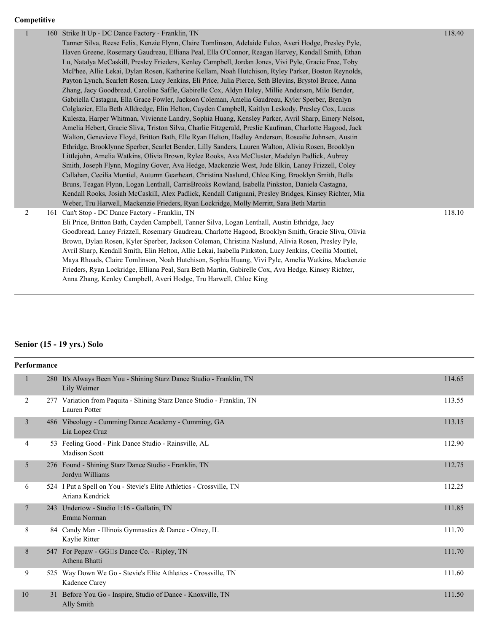| Competitive |  |
|-------------|--|
|             |  |

|   | 160 Strike It Up - DC Dance Factory - Franklin, TN<br>Tanner Silva, Reese Felix, Kenzie Flynn, Claire Tomlinson, Adelaide Fulco, Averi Hodge, Presley Pyle,<br>Haven Greene, Rosemary Gaudreau, Elliana Peal, Ella O'Connor, Reagan Harvey, Kendall Smith, Ethan<br>Lu, Natalya McCaskill, Presley Frieders, Kenley Campbell, Jordan Jones, Vivi Pyle, Gracie Free, Toby<br>McPhee, Allie Lekai, Dylan Rosen, Katherine Kellam, Noah Hutchison, Ryley Parker, Boston Reynolds,<br>Payton Lynch, Scarlett Rosen, Lucy Jenkins, Eli Price, Julia Pierce, Seth Blevins, Brystol Bruce, Anna<br>Zhang, Jacy Goodbread, Caroline Saffle, Gabirelle Cox, Aldyn Haley, Millie Anderson, Milo Bender,<br>Gabriella Castagna, Ella Grace Fowler, Jackson Coleman, Amelia Gaudreau, Kyler Sperber, Brenlyn<br>Colglazier, Ella Beth Alldredge, Elin Helton, Cayden Campbell, Kaitlyn Leskody, Presley Cox, Lucas<br>Kulesza, Harper Whitman, Vivienne Landry, Sophia Huang, Kensley Parker, Avril Sharp, Emery Nelson,<br>Amelia Hebert, Gracie Sliva, Triston Silva, Charlie Fitzgerald, Preslie Kaufman, Charlotte Hagood, Jack<br>Walton, Genevieve Floyd, Britton Bath, Elle Ryan Helton, Hadley Anderson, Rosealie Johnsen, Austin<br>Ethridge, Brooklynne Sperber, Scarlet Bender, Lilly Sanders, Lauren Walton, Alivia Rosen, Brooklyn<br>Littlejohn, Amelia Watkins, Olivia Brown, Rylee Rooks, Ava McCluster, Madelyn Padlick, Aubrey<br>Smith, Joseph Flynn, Mogilny Gover, Ava Hedge, Mackenzie West, Jude Elkin, Laney Frizzell, Coley<br>Callahan, Cecilia Montiel, Autumn Gearheart, Christina Naslund, Chloe King, Brooklyn Smith, Bella<br>Bruns, Teagan Flynn, Logan Lenthall, CarrisBrooks Rowland, Isabella Pinkston, Daniela Castagna,<br>Kendall Rooks, Josiah McCaskill, Alex Padlick, Kendall Catignani, Presley Bridges, Kinsey Richter, Mia<br>Weber, Tru Harwell, Mackenzie Frieders, Ryan Lockridge, Molly Merritt, Sara Beth Martin | 118.40 |
|---|-------------------------------------------------------------------------------------------------------------------------------------------------------------------------------------------------------------------------------------------------------------------------------------------------------------------------------------------------------------------------------------------------------------------------------------------------------------------------------------------------------------------------------------------------------------------------------------------------------------------------------------------------------------------------------------------------------------------------------------------------------------------------------------------------------------------------------------------------------------------------------------------------------------------------------------------------------------------------------------------------------------------------------------------------------------------------------------------------------------------------------------------------------------------------------------------------------------------------------------------------------------------------------------------------------------------------------------------------------------------------------------------------------------------------------------------------------------------------------------------------------------------------------------------------------------------------------------------------------------------------------------------------------------------------------------------------------------------------------------------------------------------------------------------------------------------------------------------------------------------------------------------------------------------------------------------------------|--------|
| 2 | 161 Can't Stop - DC Dance Factory - Franklin, TN<br>Eli Price, Britton Bath, Cayden Campbell, Tanner Silva, Logan Lenthall, Austin Ethridge, Jacy<br>Goodbread, Laney Frizzell, Rosemary Gaudreau, Charlotte Hagood, Brooklyn Smith, Gracie Sliva, Olivia<br>Brown, Dylan Rosen, Kyler Sperber, Jackson Coleman, Christina Naslund, Alivia Rosen, Presley Pyle,<br>Avril Sharp, Kendall Smith, Elin Helton, Allie Lekai, Isabella Pinkston, Lucy Jenkins, Cecilia Montiel,<br>Maya Rhoads, Claire Tomlinson, Noah Hutchison, Sophia Huang, Vivi Pyle, Amelia Watkins, Mackenzie<br>Frieders, Ryan Lockridge, Elliana Peal, Sara Beth Martin, Gabirelle Cox, Ava Hedge, Kinsey Richter,<br>Anna Zhang, Kenley Campbell, Averi Hodge, Tru Harwell, Chloe King                                                                                                                                                                                                                                                                                                                                                                                                                                                                                                                                                                                                                                                                                                                                                                                                                                                                                                                                                                                                                                                                                                                                                                                           | 118.10 |
|   |                                                                                                                                                                                                                                                                                                                                                                                                                                                                                                                                                                                                                                                                                                                                                                                                                                                                                                                                                                                                                                                                                                                                                                                                                                                                                                                                                                                                                                                                                                                                                                                                                                                                                                                                                                                                                                                                                                                                                       |        |

# **Senior (15 - 19 yrs.) Solo**

| <b>Performance</b> |                |     |                                                                                         |        |
|--------------------|----------------|-----|-----------------------------------------------------------------------------------------|--------|
|                    | 1              |     | 280 It's Always Been You - Shining Starz Dance Studio - Franklin, TN<br>Lily Weimer     | 114.65 |
|                    | 2              |     | 277 Variation from Paquita - Shining Starz Dance Studio - Franklin, TN<br>Lauren Potter | 113.55 |
|                    | $\overline{3}$ |     | 486 Vibeology - Cumming Dance Academy - Cumming, GA<br>Lia Lopez Cruz                   | 113.15 |
|                    | 4              |     | 53 Feeling Good - Pink Dance Studio - Rainsville, AL<br><b>Madison Scott</b>            | 112.90 |
|                    | 5              |     | 276 Found - Shining Starz Dance Studio - Franklin, TN<br>Jordyn Williams                | 112.75 |
|                    | 6              |     | 524 I Put a Spell on You - Stevie's Elite Athletics - Crossville, TN<br>Ariana Kendrick | 112.25 |
|                    | $\overline{7}$ | 243 | Undertow - Studio 1:16 - Gallatin, TN<br>Emma Norman                                    | 111.85 |
|                    | 8              |     | 84 Candy Man - Illinois Gymnastics & Dance - Olney, IL<br>Kaylie Ritter                 | 111.70 |
|                    | 8              |     | 547 For Pepaw - GG□s Dance Co. - Ripley, TN<br>Athena Bhatti                            | 111.70 |
|                    | 9              |     | 525 Way Down We Go - Stevie's Elite Athletics - Crossville, TN<br>Kadence Carey         | 111.60 |
|                    | 10             |     | 31 Before You Go - Inspire, Studio of Dance - Knoxville, TN<br>Ally Smith               | 111.50 |
|                    |                |     |                                                                                         |        |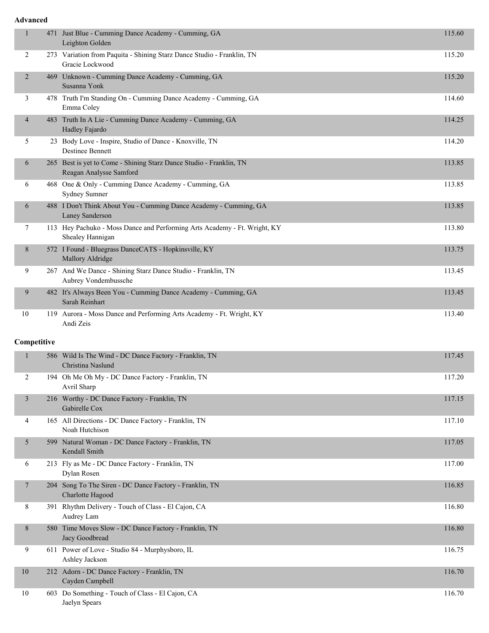### **Advanced**

| 1              |     | 471 Just Blue - Cumming Dance Academy - Cumming, GA<br>Leighton Golden                         | 115.60 |
|----------------|-----|------------------------------------------------------------------------------------------------|--------|
| 2              |     | 273 Variation from Paquita - Shining Starz Dance Studio - Franklin, TN<br>Gracie Lockwood      | 115.20 |
| $\overline{2}$ |     | 469 Unknown - Cumming Dance Academy - Cumming, GA<br>Susanna Yonk                              | 115.20 |
| 3              |     | 478 Truth I'm Standing On - Cumming Dance Academy - Cumming, GA<br>Emma Coley                  | 114.60 |
| 4              |     | 483 Truth In A Lie - Cumming Dance Academy - Cumming, GA<br>Hadley Fajardo                     | 114.25 |
| 5              |     | 23 Body Love - Inspire, Studio of Dance - Knoxville, TN<br>Destinee Bennett                    | 114.20 |
| 6              |     | 265 Best is yet to Come - Shining Starz Dance Studio - Franklin, TN<br>Reagan Analysse Samford | 113.85 |
| 6              |     | 468 One & Only - Cumming Dance Academy - Cumming, GA<br>Sydney Sumner                          | 113.85 |
| 6              |     | 488 I Don't Think About You - Cumming Dance Academy - Cumming, GA<br>Laney Sanderson           | 113.85 |
| 7              |     | 113 Hey Pachuko - Moss Dance and Performing Arts Academy - Ft. Wright, KY<br>Shealey Hannigan  | 113.80 |
| 8              |     | 572 I Found - Bluegrass DanceCATS - Hopkinsville, KY<br>Mallory Aldridge                       | 113.75 |
| 9              |     | 267 And We Dance - Shining Starz Dance Studio - Franklin, TN<br>Aubrey Vondembussche           | 113.45 |
| 9              |     | 482 It's Always Been You - Cumming Dance Academy - Cumming, GA<br>Sarah Reinhart               | 113.45 |
| 10             |     | 119 Aurora - Moss Dance and Performing Arts Academy - Ft. Wright, KY<br>Andi Zeis              | 113.40 |
| Competitive    |     |                                                                                                |        |
| 1              |     | 586 Wild Is The Wind - DC Dance Factory - Franklin, TN<br>Christina Naslund                    | 117.45 |
| 2              |     | 194 Oh Me Oh My - DC Dance Factory - Franklin, TN<br>Avril Sharp                               | 117.20 |
| 3              |     | 216 Worthy - DC Dance Factory - Franklin, TN<br>Gabirelle Cox                                  | 117.15 |
| 4              |     | 165 All Directions - DC Dance Factory - Franklin, TN<br>Noah Hutchison                         | 117.10 |
| 5              | 599 | Natural Woman - DC Dance Factory - Franklin, TN<br>Kendall Smith                               | 117.05 |
| 6              |     | 213 Fly as Me - DC Dance Factory - Franklin, TN<br>Dylan Rosen                                 | 117.00 |
| 7              |     | 204 Song To The Siren - DC Dance Factory - Franklin, TN<br>Charlotte Hagood                    | 116.85 |
| 8              |     | 391 Rhythm Delivery - Touch of Class - El Cajon, CA<br>Audrey Lam                              | 116.80 |
| 8              |     | 580 Time Moves Slow - DC Dance Factory - Franklin, TN<br>Jacy Goodbread                        | 116.80 |
| 9              |     | 611 Power of Love - Studio 84 - Murphysboro, IL<br>Ashley Jackson                              | 116.75 |
| 10             |     | 212 Adorn - DC Dance Factory - Franklin, TN<br>Cayden Campbell                                 | 116.70 |
| 10             |     | 603 Do Something - Touch of Class - El Cajon, CA<br>Jaelyn Spears                              | 116.70 |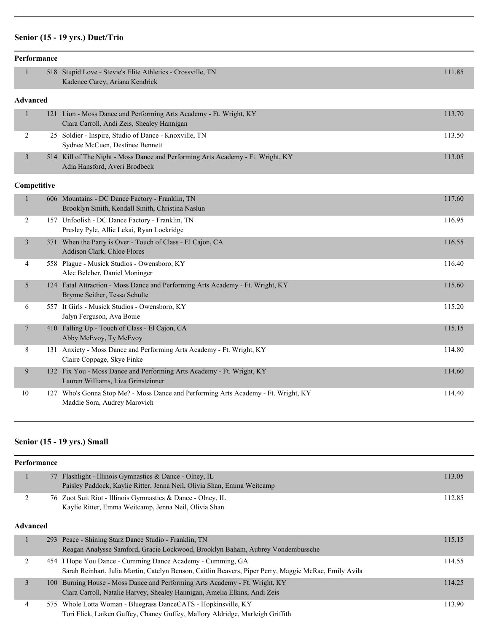# **Senior (15 - 19 yrs.) Duet/Trio**

|                 | Performance |                                                                                                                    |        |
|-----------------|-------------|--------------------------------------------------------------------------------------------------------------------|--------|
| $\mathbf{1}$    |             | 518 Stupid Love - Stevie's Elite Athletics - Crossville, TN<br>Kadence Carey, Ariana Kendrick                      | 111.85 |
| <b>Advanced</b> |             |                                                                                                                    |        |
| 1               |             | 121 Lion - Moss Dance and Performing Arts Academy - Ft. Wright, KY<br>Ciara Carroll, Andi Zeis, Shealey Hannigan   | 113.70 |
| 2               |             | 25 Soldier - Inspire, Studio of Dance - Knoxville, TN<br>Sydnee McCuen, Destinee Bennett                           | 113.50 |
| $\mathfrak{Z}$  |             | 514 Kill of The Night - Moss Dance and Performing Arts Academy - Ft. Wright, KY<br>Adia Hansford, Averi Brodbeck   | 113.05 |
|                 | Competitive |                                                                                                                    |        |
| $\mathbf{1}$    |             | 606 Mountains - DC Dance Factory - Franklin, TN<br>Brooklyn Smith, Kendall Smith, Christina Naslun                 | 117.60 |
| 2               |             | 157 Unfoolish - DC Dance Factory - Franklin, TN<br>Presley Pyle, Allie Lekai, Ryan Lockridge                       | 116.95 |
| $\overline{3}$  |             | 371 When the Party is Over - Touch of Class - El Cajon, CA<br>Addison Clark, Chloe Flores                          | 116.55 |
| 4               |             | 558 Plague - Musick Studios - Owensboro, KY<br>Alec Belcher, Daniel Moninger                                       | 116.40 |
| 5               |             | 124 Fatal Attraction - Moss Dance and Performing Arts Academy - Ft. Wright, KY<br>Brynne Seither, Tessa Schulte    | 115.60 |
| 6               |             | 557 It Girls - Musick Studios - Owensboro, KY<br>Jalyn Ferguson, Ava Bouie                                         | 115.20 |
| $\tau$          |             | 410 Falling Up - Touch of Class - El Cajon, CA<br>Abby McEvoy, Ty McEvoy                                           | 115.15 |
| 8               |             | 131 Anxiety - Moss Dance and Performing Arts Academy - Ft. Wright, KY<br>Claire Coppage, Skye Finke                | 114.80 |
| 9               |             | 132 Fix You - Moss Dance and Performing Arts Academy - Ft. Wright, KY<br>Lauren Williams, Liza Grinsteinner        | 114.60 |
| 10              |             | 127 Who's Gonna Stop Me? - Moss Dance and Performing Arts Academy - Ft. Wright, KY<br>Maddie Sora, Audrey Marovich | 114.40 |

# **Senior (15 - 19 yrs.) Small**

| Performance          |                                                                                                                                                                     |        |
|----------------------|---------------------------------------------------------------------------------------------------------------------------------------------------------------------|--------|
| 77                   | Flashlight - Illinois Gymnastics & Dance - Olney, IL<br>Paisley Paddock, Kaylie Ritter, Jenna Neil, Olivia Shan, Emma Weitcamp                                      | 113.05 |
| 2<br><b>Advanced</b> | 76 Zoot Suit Riot - Illinois Gymnastics & Dance - Olney, IL<br>Kaylie Ritter, Emma Weitcamp, Jenna Neil, Olivia Shan                                                | 112.85 |
|                      |                                                                                                                                                                     |        |
| 1                    | 293 Peace - Shining Starz Dance Studio - Franklin, TN<br>Reagan Analysse Samford, Gracie Lockwood, Brooklyn Baham, Aubrey Vondembussche                             | 115.15 |
| 2                    | 454 I Hope You Dance - Cumming Dance Academy - Cumming, GA<br>Sarah Reinhart, Julia Martin, Catelyn Benson, Caitlin Beavers, Piper Perry, Maggie McRae, Emily Avila | 114.55 |
| 3<br>100-            | Burning House - Moss Dance and Performing Arts Academy - Ft. Wright, KY<br>Ciara Carroll, Natalie Harvey, Shealey Hannigan, Amelia Elkins, Andi Zeis                | 114.25 |
| 4                    | 575 Whole Lotta Woman - Bluegrass DanceCATS - Hopkinsville, KY<br>Tori Flick, Laiken Guffey, Chaney Guffey, Mallory Aldridge, Marleigh Griffith                     | 113.90 |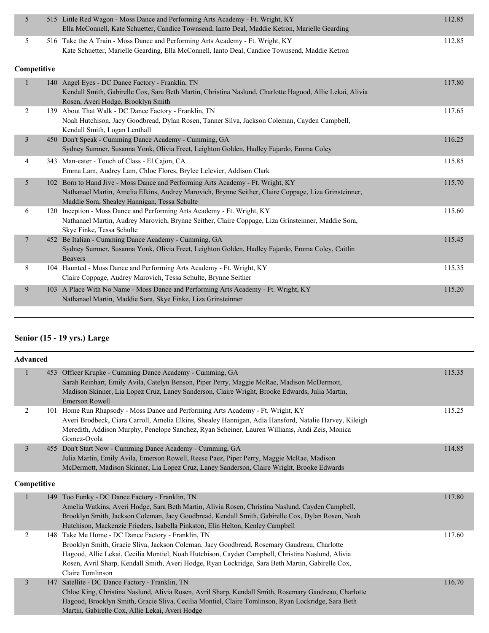|  | 515 Little Red Wagon - Moss Dance and Performing Arts Academy - Ft. Wright, KY<br>Ella McConnell, Kate Schuetter, Candice Townsend, Ianto Deal, Maddie Ketron, Marielle Gearding | 112.85 |
|--|----------------------------------------------------------------------------------------------------------------------------------------------------------------------------------|--------|
|  | 516 Take the A Train - Moss Dance and Performing Arts Academy - Ft. Wright, KY                                                                                                   | 12.85  |
|  | Kate Schuetter, Marielle Gearding, Ella McConnell, Ianto Deal, Candice Townsend, Maddie Ketron                                                                                   |        |

### **Competitive**

|   |     | 140 Angel Eyes - DC Dance Factory - Franklin, TN<br>Kendall Smith, Gabirelle Cox, Sara Beth Martin, Christina Naslund, Charlotte Hagood, Allie Lekai, Alivia<br>Rosen, Averi Hodge, Brooklyn Smith                                  | 117.80 |
|---|-----|-------------------------------------------------------------------------------------------------------------------------------------------------------------------------------------------------------------------------------------|--------|
| 2 |     | 139 About That Walk - DC Dance Factory - Franklin, TN<br>Noah Hutchison, Jacy Goodbread, Dylan Rosen, Tanner Silva, Jackson Coleman, Cayden Campbell,<br>Kendall Smith, Logan Lenthall                                              | 117.65 |
| 3 | 450 | Don't Speak - Cumming Dance Academy - Cumming, GA<br>Sydney Sumner, Susanna Yonk, Olivia Freet, Leighton Golden, Hadley Fajardo, Emma Coley                                                                                         | 116.25 |
| 4 |     | 343 Man-eater - Touch of Class - El Cajon, CA<br>Emma Lam, Audrey Lam, Chloe Flores, Brylee Lelevier, Addison Clark                                                                                                                 | 115.85 |
| 5 | 102 | Born to Hand Jive - Moss Dance and Performing Arts Academy - Ft. Wright, KY<br>Nathanael Martin, Amelia Elkins, Audrey Marovich, Brynne Seither, Claire Coppage, Liza Grinsteinner,<br>Maddie Sora, Shealey Hannigan, Tessa Schulte | 115.70 |
| 6 | 120 | Inception - Moss Dance and Performing Arts Academy - Ft. Wright, KY<br>Nathanael Martin, Audrey Marovich, Brynne Seither, Claire Coppage, Liza Grinsteinner, Maddie Sora,<br>Skye Finke, Tessa Schulte                              | 115.60 |
| 7 | 452 | Be Italian - Cumming Dance Academy - Cumming, GA<br>Sydney Sumner, Susanna Yonk, Olivia Freet, Leighton Golden, Hadley Fajardo, Emma Coley, Caitlin<br><b>Beavers</b>                                                               | 115.45 |
| 8 |     | 104 Haunted - Moss Dance and Performing Arts Academy - Ft. Wright, KY<br>Claire Coppage, Audrey Marovich, Tessa Schulte, Brynne Seither                                                                                             | 115.35 |
| 9 | 103 | A Place With No Name - Moss Dance and Performing Arts Academy - Ft. Wright, KY<br>Nathanael Martin, Maddie Sora, Skye Finke, Liza Grinsteinner                                                                                      | 115.20 |
|   |     |                                                                                                                                                                                                                                     |        |

## **Senior (15 - 19 yrs.) Large**

| <b>Advanced</b> |     |                                                                                                                                                                                                                                                                                                                                                                               |        |
|-----------------|-----|-------------------------------------------------------------------------------------------------------------------------------------------------------------------------------------------------------------------------------------------------------------------------------------------------------------------------------------------------------------------------------|--------|
|                 |     | 453 Officer Krupke - Cumming Dance Academy - Cumming, GA<br>Sarah Reinhart, Emily Avila, Catelyn Benson, Piper Perry, Maggie McRae, Madison McDermott,<br>Madison Skinner, Lia Lopez Cruz, Laney Sanderson, Claire Wright, Brooke Edwards, Julia Martin,<br><b>Emerson Rowell</b>                                                                                             | 115.35 |
| 2               |     | 101 Home Run Rhapsody - Moss Dance and Performing Arts Academy - Ft. Wright, KY<br>Averi Brodbeck, Ciara Carroll, Amelia Elkins, Shealey Hannigan, Adia Hansford, Natalie Harvey, Kileigh<br>Meredith, Addison Murphy, Penelope Sanchez, Ryan Scheiner, Lauren Williams, Andi Zeis, Monica<br>Gomez-Oyola                                                                     | 115.25 |
| $\mathfrak{Z}$  |     | 455 Don't Start Now - Cumming Dance Academy - Cumming, GA<br>Julia Martin, Emily Avila, Emerson Rowell, Reese Paez, Piper Perry, Maggie McRae, Madison<br>McDermott, Madison Skinner, Lia Lopez Cruz, Laney Sanderson, Claire Wright, Brooke Edwards                                                                                                                          | 114.85 |
| Competitive     |     |                                                                                                                                                                                                                                                                                                                                                                               |        |
| $\mathbf{1}$    | 149 | Too Funky - DC Dance Factory - Franklin, TN<br>Amelia Watkins, Averi Hodge, Sara Beth Martin, Alivia Rosen, Christina Naslund, Cayden Campbell,<br>Brooklyn Smith, Jackson Coleman, Jacy Goodbread, Kendall Smith, Gabirelle Cox, Dylan Rosen, Noah<br>Hutchison, Mackenzie Frieders, Isabella Pinkston, Elin Helton, Kenley Campbell                                         | 117.80 |
| 2               |     | 148 Take Me Home - DC Dance Factory - Franklin, TN<br>Brooklyn Smith, Gracie Sliva, Jackson Coleman, Jacy Goodbread, Rosemary Gaudreau, Charlotte<br>Hagood, Allie Lekai, Cecilia Montiel, Noah Hutchison, Cayden Campbell, Christina Naslund, Alivia<br>Rosen, Avril Sharp, Kendall Smith, Averi Hodge, Ryan Lockridge, Sara Beth Martin, Gabirelle Cox,<br>Claire Tomlinson | 117.60 |
| $\overline{3}$  | 147 | Satellite - DC Dance Factory - Franklin, TN<br>Chloe King, Christina Naslund, Alivia Rosen, Avril Sharp, Kendall Smith, Rosemary Gaudreau, Charlotte<br>Hagood, Brooklyn Smith, Gracie Sliva, Cecilia Montiel, Claire Tomlinson, Ryan Lockridge, Sara Beth<br>Martin, Gabirelle Cox, Allie Lekai, Averi Hodge                                                                 | 116.70 |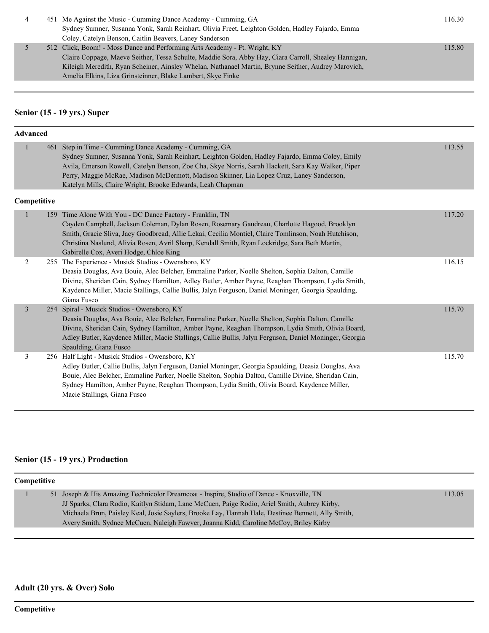|  | 451 Me Against the Music - Cumming Dance Academy - Cumming, GA                                        | 116.30 |
|--|-------------------------------------------------------------------------------------------------------|--------|
|  | Sydney Sumner, Susanna Yonk, Sarah Reinhart, Olivia Freet, Leighton Golden, Hadley Fajardo, Emma      |        |
|  | Coley, Catelyn Benson, Caitlin Beavers, Laney Sanderson                                               |        |
|  | 512 Click, Boom! - Moss Dance and Performing Arts Academy - Ft. Wright, KY                            | 115.80 |
|  | Claire Coppage, Maeve Seither, Tessa Schulte, Maddie Sora, Abby Hay, Ciara Carroll, Shealey Hannigan, |        |
|  | Kileigh Meredith, Ryan Scheiner, Ainsley Whelan, Nathanael Martin, Brynne Seither, Audrey Marovich,   |        |
|  | Amelia Elkins, Liza Grinsteinner, Blake Lambert, Skye Finke                                           |        |

# **Senior (15 - 19 yrs.) Super**

| <b>Advanced</b> |     |                                                                                                                                                                                                                                                                                                                                                                                                                        |        |
|-----------------|-----|------------------------------------------------------------------------------------------------------------------------------------------------------------------------------------------------------------------------------------------------------------------------------------------------------------------------------------------------------------------------------------------------------------------------|--------|
|                 | 461 | Step in Time - Cumming Dance Academy - Cumming, GA<br>Sydney Sumner, Susanna Yonk, Sarah Reinhart, Leighton Golden, Hadley Fajardo, Emma Coley, Emily<br>Avila, Emerson Rowell, Catelyn Benson, Zoe Cha, Skye Norris, Sarah Hackett, Sara Kay Walker, Piper<br>Perry, Maggie McRae, Madison McDermott, Madison Skinner, Lia Lopez Cruz, Laney Sanderson,<br>Katelyn Mills, Claire Wright, Brooke Edwards, Leah Chapman | 113.55 |
| Competitive     |     |                                                                                                                                                                                                                                                                                                                                                                                                                        |        |
|                 | 159 | Time Alone With You - DC Dance Factory - Franklin, TN<br>Cayden Campbell, Jackson Coleman, Dylan Rosen, Rosemary Gaudreau, Charlotte Hagood, Brooklyn<br>Smith, Gracie Sliva, Jacy Goodbread, Allie Lekai, Cecilia Montiel, Claire Tomlinson, Noah Hutchison,<br>Christina Naslund, Alivia Rosen, Avril Sharp, Kendall Smith, Ryan Lockridge, Sara Beth Martin,<br>Gabirelle Cox, Averi Hodge, Chloe King              | 117.20 |
| 2               |     | 255 The Experience - Musick Studios - Owensboro, KY<br>Deasia Douglas, Ava Bouie, Alec Belcher, Emmaline Parker, Noelle Shelton, Sophia Dalton, Camille<br>Divine, Sheridan Cain, Sydney Hamilton, Adley Butler, Amber Payne, Reaghan Thompson, Lydia Smith,<br>Kaydence Miller, Macie Stallings, Callie Bullis, Jalyn Ferguson, Daniel Moninger, Georgia Spaulding,<br>Giana Fusco                                    | 116.15 |
| 3               | 254 | Spiral - Musick Studios - Owensboro, KY<br>Deasia Douglas, Ava Bouie, Alec Belcher, Emmaline Parker, Noelle Shelton, Sophia Dalton, Camille<br>Divine, Sheridan Cain, Sydney Hamilton, Amber Payne, Reaghan Thompson, Lydia Smith, Olivia Board,<br>Adley Butler, Kaydence Miller, Macie Stallings, Callie Bullis, Jalyn Ferguson, Daniel Moninger, Georgia<br>Spaulding, Giana Fusco                                  | 115.70 |
| 3               |     | 256 Half Light - Musick Studios - Owensboro, KY<br>Adley Butler, Callie Bullis, Jalyn Ferguson, Daniel Moninger, Georgia Spaulding, Deasia Douglas, Ava<br>Bouie, Alec Belcher, Emmaline Parker, Noelle Shelton, Sophia Dalton, Camille Divine, Sheridan Cain,<br>Sydney Hamilton, Amber Payne, Reaghan Thompson, Lydia Smith, Olivia Board, Kaydence Miller,<br>Macie Stallings, Giana Fusco                          | 115.70 |

# **Senior (15 - 19 yrs.) Production**

| Competitive |  |                                                                                                                                                                                                                                                                                                |        |
|-------------|--|------------------------------------------------------------------------------------------------------------------------------------------------------------------------------------------------------------------------------------------------------------------------------------------------|--------|
|             |  | 51 Joseph & His Amazing Technicolor Dreamcoat - Inspire, Studio of Dance - Knoxville, TN<br>JJ Sparks, Clara Rodio, Kaitlyn Stidam, Lane McCuen, Paige Rodio, Ariel Smith, Aubrey Kirby,<br>Michaela Brun, Paisley Keal, Josie Saylers, Brooke Lay, Hannah Hale, Destinee Bennett, Ally Smith, | 113.05 |
|             |  | Avery Smith, Sydnee McCuen, Naleigh Fawyer, Joanna Kidd, Caroline McCoy, Briley Kirby                                                                                                                                                                                                          |        |

# **Adult (20 yrs. & Over) Solo**